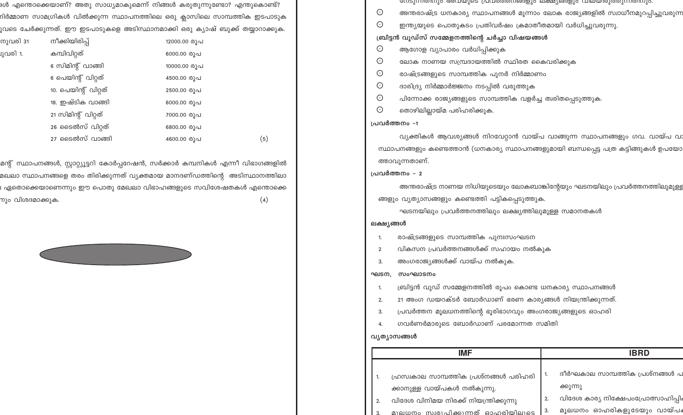ദൾ എന്തൊക്കെയാണ്? അതു സാധ്യമാകുമെന്ന് നിങ്ങൾ കരുതുന്നുണ്ടോ? എന്തുകൊണ്ട<mark>്</mark>? റിർമ്മാണ സാമഗ്രികൾ വിൽക്കുന്ന സ്ഥാപനത്തിലെ ഒരു ക്ലാസിലെ സാമ്പത്തിക ഇടപാടു<mark>ക</mark> ുവടെ ചേർക്കുന്നത്. ഈ ഇടപാടുകളെ അടിസ്ഥാനമാക്കി ഒരു കൃാഷ് ബുക്ക് തയ്യാറാക്കു<mark>ക.</mark>

| 31 | നീക്കിയിരിപ്പ്       | 12000.00 രുപ |
|----|----------------------|--------------|
|    | കമ്പിവിറ്റത്         | 6000.00 രൂപ  |
|    | 6 സിമിന്റ് വാങ്ങി    | 10000.00 രൂപ |
|    | 6 പെയിന്റ് വിറ്റത്   | 4500.00 രൂപ  |
|    | 10. പെയിന്റ് വിറ്റത് | 2500.00 രൂപ  |
|    | 18. ഇഷ്ടിക വാങ്ങി    | 6000.00 രൂപ  |
|    | 21 സിമിന്റ് വിറ്റത്  | 7000.00 രൂപ  |
|    | 26 ടൈൽസ് വിറ്റത്     | 6800.00 രൂപ  |
|    | 27 ടൈൽസ് വാങ്ങി      | 4600.00 രൂപ  |

നുവരി

്വവരി 1.

മന്റ് സ്ഥാപനങ്ങൾ, സ്റ്റാറ്റ്യൂട്ടറി കോർപ്പറേഷൻ, സർക്കാർ കമ്പനികൾ എന്നീ വിഭാഗങ്ങളിൽ മഖലാ സ്ഥാപനങ്ങളെ തരം തിരിക്കുന്നത് വ്യക്തമായ മാനദണ്ഡത്തിന്റെ അടിസ്ഥാനത്തില<mark>ാ</mark> । ഏതൊക്കെയാണെന്നും ഈ പൊതു മേഖലാ വിഭാഹങ്ങളുടെ സവിശേഷതകൾ എന്തൊക്ക<mark>െ</mark> നും വിശദ<mark>മാക്കുക.</mark>  $(4)$ 

 $(5)$ 



|                                                 | നേടുന്നതന്നും അവയുടെ പ്രവരത്തനങ്ങളും ലക്ഷ്യങ്ങളും വലയിരുത്തുന്നതനും.            |  |
|-------------------------------------------------|---------------------------------------------------------------------------------|--|
| $\odot$                                         | അന്തരാഷ്ട്ര ധനകാര്യ സ്ഥാപനങ്ങൾ മൂന്നാം ലോക രാജ്യങ്ങളിൽ സ്വാധീനമുറപ്പിച്ചുവരുന്ന |  |
| $\odot$                                         | ഇന്ത്യയുടെ പൊതുകടം പ്രതിവർഷം ക്രമാതീതമായി വർധിച്ചുവരുന്നു.                      |  |
| ബ്രിട്ടൻ വുഡ്സ് സമ്മേളനത്തിന്റെ ചർച്ചാ വിഷയങ്ങൾ |                                                                                 |  |

- ആഗോള വ്യാപാരം വർധിപ്പിക്കുക  $\odot$
- ലോക നാണയ സമ്പ്രദായത്തിൽ സ്ഥിരത കൈവരിക്കുക  $\odot$
- $\odot$ രാഷ്ട്രങ്ങളുടെ സാമ്പത്തിക പുനർ നിർമ്മാണം
- $\odot$ ദാരിദ്ര്യ നിർമ്മാർജ്ജനം നടപ്പിൽ വരുത്തുക
- $\odot$ പിന്നോക്ക രാജ്യങ്ങളുടെ സാമ്പത്തിക വളർച്ച ത്വരിതപ്പെടുത്തുക.
- $\odot$ തൊഴിലില്ലായ്മ പരിഹരിക്കുക.

## പ്രവർത്തനം -1

വ്യക്തികൾ ആവശ്യങ്ങൾ നിറവേറ്റാൻ വായ്പ വാങ്ങുന്ന സ്ഥാപനങ്ങളും ഗവ. വായ്പ വഃ സ്ഥാപനങ്ങളും കണ്ടെത്താൻ (ധനകാര്യ സ്ഥാപനങ്ങളുമായി ബന്ധപ്പെട്ട പത്ര കട്ടിങ്ങുകൾ ഉപയോ ത്താവുന്നതാണ്.

## പ്രവർത്തനം - 2

അന്തരാഷ്ട്ര നാണയ നിധിയുടെയും ലോകബാങ്കിന്റേയും ഘടനയിലും പ്രവർത്തനത്തിലുമുള്ള ങ്ങളും വ്യത്യാസങ്ങളും കണ്ടെത്തി പട്ടികപ്പെടുത്തുക.

ഘടനയിലും പ്രവർത്തനത്തിലും ലക്ഷ്യത്തിലുമുള്ള സമാനതകൾ

## ലക്ഷ്യങ്ങൾ

- രാഷ്ട്രങ്ങളുടെ സാമ്പത്തിക പുനഃസംഘടന 1.
- വികസന പ്രവർത്തനങ്ങൾക്ക് സഹായം നൽകുക  $\overline{2}$
- അംഗരാജ്യങ്ങൾക്ക് വായ്പ നൽകുക.  $\overline{3}$

#### സംഘാടനം ഘടന,

- ബ്രിട്ടൻ വുഡ് സമ്മേളനത്തിൽ രൂപം കൊണ്ട ധനകാര്യ സ്ഥാപനങ്ങൾ  $\overline{1}$ .
- 21 അംഗ ഡയറക്ടർ ബോർഡാണ് ഭരണ കാര്യങ്ങൾ നിയന്ത്രിക്കുന്നത്.  $2.$
- പ്രവർത്തന മൂലധനത്തിന്റെ ഭൂരിഭാഗവും അംഗരാജ്യങ്ങളുടെ ഓഹരി 3.
- ഗവർണർമാരുടെ ബോർഡാണ് പരമോന്നത സമിതി  $\overline{4}$

# വ്യത്യാസങ്ങൾ

| IMF                                    |     | <b>IBRD</b>                         |
|----------------------------------------|-----|-------------------------------------|
|                                        |     |                                     |
| ഹ്രസ്വകാല സാമ്പത്തിക പ്രശ്നങ്ങൾ പരിഹരി |     | ദീർഘകാല സാമ്പത്തിക പ്രശ്നങ്ങൾ പ     |
| ക്കാനുള്ള വായ്പകൾ നൽകുന്നു.            |     | ക്കുന്നു                            |
| വിദേശ വിനിമയ നിരക്ക് നിയന്ത്രിക്കുന്നു | 2.  | വിദേശ കാര്യ നിക്ഷേപംപ്രോത്സാഹിപ്പിം |
| മാലധനം സ്വരാപിക്കുന്നത് ഓഹരിയിലുടെ     | -3. | മൂലധനം ഓഹരികളുടേയും വായ്പം          |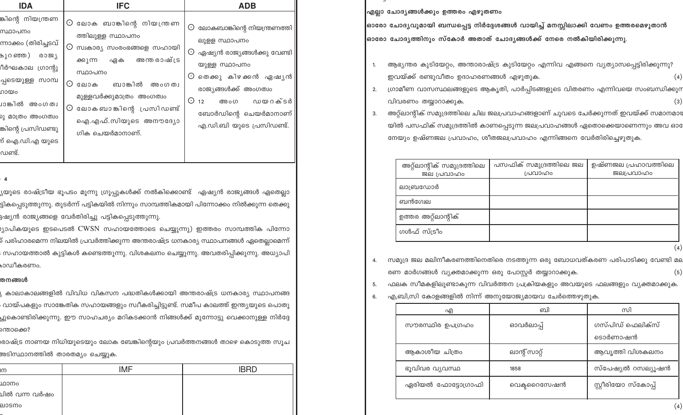| <b>IDA</b>                                                                                                                                                                                                 | <b>IFC</b>                                                                                                                                                                                                                                                                   | <b>ADB</b>                                                                                                                                                                                                                                    |
|------------------------------------------------------------------------------------------------------------------------------------------------------------------------------------------------------------|------------------------------------------------------------------------------------------------------------------------------------------------------------------------------------------------------------------------------------------------------------------------------|-----------------------------------------------------------------------------------------------------------------------------------------------------------------------------------------------------------------------------------------------|
| കിന്റെ നിയന്ത്രണ<br>ഡ്ഥാപനം<br>നാക്കം (തിരിച്ചടവ്<br>പുറഞ്ഞ )<br>രാജ്യ<br>ിർഘകാല ഗ്രാന്റു<br>പ്പടെയുള്ള സാമ്പ<br>ായം<br>ാങ്കിൽ അംഗത്വ<br>ു മാത്രം അംഗത്വം<br>കിന്റെ പ്രസിഡണ്ടു<br>റ് ഐ.ഡി.എ യുടെ<br>ധണ്ട്. | $\odot$ ലോക ബാങ്കിന്റെ നിയന്ത്രണ<br>ത്തിലുള്ള സ്ഥാപനം<br>⊙<br>സ്വകാര്യ സംരംഭങ്ങളെ സഹായി<br>അന്തരാഷ്ട്ര<br>ക്കുന്ന<br>ഏക<br>സ്ഥാപനം<br>⊙<br>ബാങ്കിൽ<br>ലോക<br>അംഗത്വ<br>മുള്ളവർക്കുമാത്രം അംഗത്വം<br>ലോകബാങ്കിന്റെ പ്രസിഡണ്ട്<br>⊙<br>ഐ.എഫ്.സിയുടെ അനൗദ്യോ<br>ഗിക ചെയർമാനാണ്. | $\odot$ ലോകബാങ്കിന്റെ നിയന്ത്രണത്തി<br>ലുളള സ്ഥാപനം<br>$\odot$ ഏഷ്യൻ രാജ്യങ്ങൾക്കു വേണ്ടി<br>യുള്ള സ്ഥാപനം<br>⊙ തെക്കു കിഴക്കൻ ഏഷൃൻ<br>രാജ്യങ്ങൾക്ക് അംഗത്വം<br>$\odot$ 12<br>അംഗ ഡയറക്ടർ<br>ബോർഡിന്റെ ചെയർമാനാണ്<br>എ.ഡി.ബി യുടെ പ്രസിഡണ്ട്. |

#### - 4

്യയുടെ രാഷ്ട്രീയ ഭൂപട<mark>ം</mark> മൂന്നു ഗ്രൂപ്പുകൾക്ക് നൽകിക്കൊണ്ട് ഏഷ്യൻ രാജ്യങ്ങൾ ഏതെല്ലാ .<br>ട്ടികപ്പെടുത്തുന്നു. തുടർന്ന് പട്ടികയിൽ നിന്നും സാമ്പത്തികമായി പിന്നോക്കം നിൽക്കുന്ന തെക്കു .<br>ദിഷ്യൻ രാജ്യങ്ങളെ വേർതിരിച്ചു പട്ടികപ്പെടുത്തുന്നു.

<sub>).</sub>(ാപികയുടെ ഇടപെടൽ CWSN സഹായത്തോടെ ചെയ്യുന്നു) ഇത്തരം സാമ്പത്തിക പിന്നോ .<br>പരിഹാരമെന്ന നിലയിൽ പ്രവർത്തിക്കുന്ന അന്തരാഷ്ട്ര ധനകാര്യ സ്ഥാപനങ്ങൾ ഏതെല്ലാമെന്ന് : സഹായത്താൽ കുട്ടികൾ കണ്ടെത്തുന്നു. വിശകലനം ചെയ്യുന്നു. അവതരിപ്പിക്കുന്നു. അധ്യാപി bാഡീകരണ<mark>ം</mark>.

## തനങ്ങൾ

്യ കാലാകാലങ്ങളിൽ വിവിധ വികസന പദ്ധതികൾക്കായി അന്തരാഷ്ട്ര ധനകാര്യ സ്ഥാപനങ്ങ , വായ്പകളും സാങ്കേതിക സഹായങ്ങളും സ്ഥീകരിച്ചിട്ടുണ്ട്. സമീപ കാലത്ത് ഇന്ത്യയുടെ പൊതു ച്ചുകൊണ്ടിരിക്കുന്നു. ഈ സാഹചര്യം മറികടക്കാൻ നിങ്ങൾക്ക് മുന്നോട്ടു വെക്കാനുള്ള നിർദ്ദേ ന്തൊക്കെ?

,<br>രാഷ്ട്ര നാണയ നിധിയുടെയും ലോക ബേങ്കിന്റെയും പ്രവർത്തനങ്ങൾ താഴെ കൊടുത്ത സൂച .<br>അടിസ്ഥാനത്തിൽ താരതമ്യം ചെയ്യു<mark>ക.</mark>

| IM            | <b>IMF</b> | <b>IBRD</b> |
|---------------|------------|-------------|
| ഥാനം          |            |             |
| ചിൽ വന്ന വർഷം |            |             |
| ലാടനം         |            |             |
|               |            |             |

എല്ലാ ചോദ്യങ്ങൾക്കും ഉത്തരം എഴുതണം

|ഓരോ ചോദ്യവുമായി ബന്ധപ്പെട്ട നിർദ്ദേശങ്ങൾ വായിച്ച് മനസ്സിലാക്കി വേണം ഉത്തരമെഴുതാൻ |ഓരോ ചോദ്യത്തിനും സ്കോർ അതാത് ചോദ്യങ്ങൾക്ക് നേരെ നൽകിയിരിക്കുന്നു.

- ആഭ്യന്തര കുടിയേറ്റം, അന്താരാഷ്ട്ര കുടിയേറ്റം എന്നിവ എങ്ങനെ വ്യത്യാസപ്പെട്ടിരിക്കുന്നു? ഇവയ്ക്ക് രണ്ടുവീതം ഉദാഹരണങ്ങൾ എഴുതുക.
- ഗ്രാമീണ വാസസ്ഥലങ്ങളുടെ ആകൃതി, പാർപ്പിടങ്ങളുടെ വിതരണം എന്നിവയെ സംബന്ധിക്കുന  $2.$ വിവരണം തയ്യാറാക്കുക.  $\left(3\right)$
- അറ്റ്ലാന്റിക് സമുദ്രത്തിലെ ചില ജലപ്രവാഹങ്ങളാണ് ചുവടെ ചേർക്കുന്നത് ഇവയ്ക്ക് സമാനമാര 3. യിൽ പസഫിക് സമുദ്രത്തിൽ കാണപ്പെടുന്ന ജലപ്രവാഹങ്ങൾ ഏതൊക്കെയാണെന്നും അവ ഓ നേയും ഉഷ്ണജല പ്രവാഹം, ശീതജലപ്രവാഹം എന്നിങ്ങനെ വേർതിരിച്ചെഴുതുക.

| അറ്റ്ലാന്റിക് സമുദ്രത്തിലെ<br>ജല പ്രവാഹം | പസഫിക് സമുദ്രത്തിലെ ജല<br>പ്രവാഹം | ഉഷ്ണജല പ്രഹാവത്തിലെ<br>ജലപ്രവാഹം |
|------------------------------------------|-----------------------------------|----------------------------------|
| ലാബ്രഡോർ                                 |                                   |                                  |
| ബൻഗ്വേല                                  |                                   |                                  |
| ഉത്തര അറ്റ്ലാന്റിക്                      |                                   |                                  |
| ഗൾഫ് സ്ട്രീം                             |                                   |                                  |

 $(4)$ 

സമുദ്ര ജല മലിനീകരണത്തിനെതിരെ നടത്തുന്ന ഒരു ബോധവത്കരണ പരിപാടിക്കു വേണ്ടി മല 4. രണ മാർഗങ്ങൾ വ്യക്തമാക്കുന്ന ഒരു പോസ്റ്റർ തയ്യാറാക്കുക.  $(5)$ 

ഫലക സീമകളിലുണ്ടാകുന്ന വിവർത്തന പ്രക്രിയകളും അവയുടെ ഫലങ്ങളും വ്യക്തമാക്കുക. 5.

എ,ബി,സി കോളങ്ങളിൽ നിന്ന് അനുയോജ്യമായവ ചേർത്തെഴുതുക. 6.

| എ                  | ബി            | സി                          |
|--------------------|---------------|-----------------------------|
| സൗരസ്ഥിര ഉപഗ്രഹം   | ഓവർലാപ്പ്     | ഗസ്പിഡ് ഫെലിക്സ്<br>ടൊർണാഷൻ |
| ആകാശീയ ചിത്രം      | ലാന്റ് സാറ്റ് | ആവൃത്തി വിശകലനം             |
| ഭൂവിവര വ്യവസ്ഥ     | 1858          | സ്പേഷ്യൽ റസല്യൂഷൻ           |
| ഏരിയൽ ഫോട്ടോഗ്രാഫി | വെക്ടറൈസേഷൻ   | സ്റ്റീരിയോ സ്കോപ്പ്         |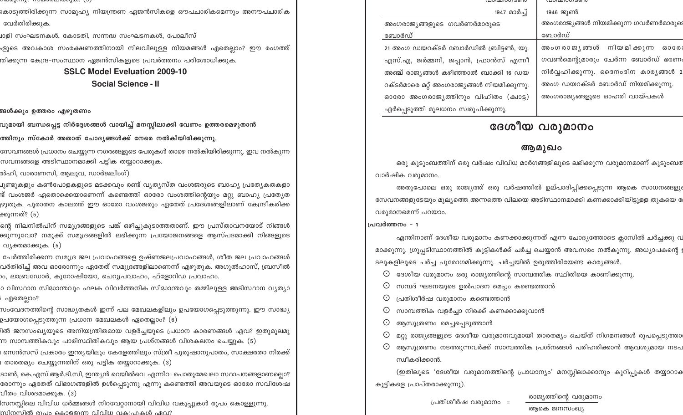$0.0001(111)$ ;  $1.002(0.0111000)$ 

കൊടുത്തിരിക്കുന്ന സാമൂഹ്യ നിയന്ത്രണ ഏജൻസികളെ ഔപചാരികമെന്നും അനൗപചാരിക വേർതിരിക്കുക.

്രാളി സംഘടനകൾ, കോടതി, സന്നദ്ധ സംഘടനകൾ, പോലീസ<mark>്</mark>

.<br>ഉുടെ അവകാശ സംരക്ഷണത്തിനായി നിലവിലുള്ള നിയമങ്ങൾ ഏതെല്ലാം? ഈ രംഗത്ത് .<br>തിക്കുന്ന കേന്ദ്ര-സംസ്ഥാന ഏജൻസികളുടെ പ്രവർത്തനം പരിശോധിക്കുക.

# **SSLC Model Eveluation 2009-10**

**Social Science - II** 

# .<br>അൾക്കും ഉത്തരം എഴുതണ<mark>ം</mark>

വുമായി ബന്ധപ്പെട്ട നിർദ്ദേശങ്ങൾ വായിച്ച് മനസ്സിലാക്കി വേണ<mark>ം</mark> ഉത്തരമെഴുതാൻ

ത്തിനും സ്കോർ അതാത് ചോദൃങ്ങൾക്ക് നേരെ നൽകിയിരിക്കുന്നു.

സേവനങ്ങൾ പ്രധാനം ചെയ്യുന്ന നഗരങ്ങളുടെ പേരുകൾ താഴെ നൽകിയിരിക്കുന്നു. ഇവ നൽകുന്ന സവനങ്ങളെ അടിസ്ഥാനമാക്കി പട്ടിക തയ്യാറാക്കുക.

.<br>ൽഹി, വാരാണസി, ആലുവ, ഡാർജലിംഗ്)

ചുണ്ടുകളും കൺപോളകളുടെ മടക്കവും രണ്ട് വ്യത്യസ്ത വംശജരുടെ ബാഹ്യ പ്രത്യേകതകള<mark>ാ</mark> .<br>ന്ദ് വംശജർ ഏതൊക്കെയാണെന്ന് കണ്ടെത്തി ഓരോ വംശത്തിന്റെയും മറ്റു ബാഹ്യ പ്രത്യേത <sub>)</sub>ഴുതുക. പുരാതന കാലത്ത് ഈ ഓരോ വംശജരും ഏതേത് പ്രദേശങ്ങളിലാണ് കേന്ദ്രീകരിക്ക ക്കുന്നത്? (5)

ന്റെ നിലനിൽപിന് സമുദ്രങ്ങളുടെ പങ്ക് ഒഴിച്ചുകൂടാത്തതാണ്. ഈ പ്രസ്താവനയോട് നിങ്ങൾ ക്കുന്നുവോ? നമുക്ക് സമുദ്രങ്ങളിൽ ലഭിക്കുന്ന പ്രയോജനങ്ങളെ ആസ്പദമാക്കി നിങ്ങളുട<mark>െ</mark> വ്യക്തമാക്കുക. (5)

ചേർത്തിരിക്കന്ന സമുദ്ര ജല പ്രവാഹങ്ങളെ ഉഷ്ണജലപ്രവാഹങ്ങൾ, ശീത ജല പ്രവാഹങ്ങൾ വർതിരിച്ച് അവ ഓരോന്നും ഏതേത് സമുദ്രങ്ങളിലാണെന്ന് എഴുതുക. അഗുൽഹാസ്, ബ്രസീൽ ാം, ലാബ്രഡോർ, കുറോഷിയോ, ചെറുപ്രവാഹം, ഫ്ളോറിഡ പ്രവാഹം.

ാ വിസ്ഥാന സിദ്ധാന്തവും ഫലക വിവർത്തനിക സിദ്ധാന്തവും തമ്മിലുള്ള അടിസ്ഥാന വ്യത്യാ , ഏതെല്ലാം?

സംവേദനത്തിന്റെ സാദ്ധ്യതകൾ ഇന്ന് പല മേഖലകളിലും ഉപയോഗപ്പെടുത്തുന്നു. ഈ സാദ്ധ്യ .<br>ഉപയോഗപ്പെടുത്തുന്ന പ്രധാന മേഖലകൾ ഏതെല്ലാം? (6)

.<br>രീൽ ജനസംഖ്യയുടെ അനിയന്ത്രിതമായ വളർച്ചയുടെ പ്രധാന കാരണങ്ങൾ ഏവ? ഇതുമൂലമു .<br>m സാമ്പത്തികവും പാരിസ്ഥിതികവും ആയ പ്രശ്നങ്ങൾ വിശകലനം ചെയ്യുക. (5)

। സെൻസസ് പ്രകാരം ഇന്ത്യയിലും കേരളത്തിലും സ്ത്രീ പുരുഷാനുപാതം, സാക്ഷരതാ നിരക്ക<mark>്</mark> .<br>അതേമ്യം ചെയ്യുന്നതിന് ഒരു പട്ടിക തയ്യാറാക്കുക. (3)

ടാൺ, കെ.എസ്.ആർ.ടി.സി, ഇന്ത്യൻ റെയിൽവെ എന്നിവ പൊതുമേഖലാ സ്ഥാപനങ്ങളാണല്ലൊ? രോന്നും ഏതേത് വിഭാഗങ്ങളിൽ ഉൾപ്പെടുന്നു എന്നു കണ്ടെത്തി അവയുടെ ഓരോ സവിശേഷ വീതം വിശദമാക്കുക. (3)

.<br>സനസ്സിലെ വിവിധ ധർമ്മങ്ങൾ നിറവേറ്റാനായി വിവിധ വകുപ്പുകൾ രൂപം കൊള്ളുന്നു. സിനസിൽ മുപ്പം കൊള്ളെന്ന വിവിധ വകുപ്പാകൾ ഹവ?

| <u>\ பலயால் லால</u>                         |                                           |
|---------------------------------------------|-------------------------------------------|
| 1947 മാർച്ച്                                | 1946 ജൂൺ                                  |
| അംഗരാജ്യങ്ങളുടെ ഗവർണർമാരുടെ                 | അംഗരാജ്യങ്ങൾ നിയമിക്കുന്ന ഗവർണർമാരുട      |
| ബോർഡ്                                       | ബോർഡ്                                     |
| 21 അംഗ ഡയറക്ടർ ബോർഡിൽ ബ്രിട്ടൺ, യു.         | അംഗരാജ്യങ്ങൾ നിയമിക്കുന്ന<br><b>ឆ</b> ១៤៥ |
| എസ്.എ, ജർമ്മനി, ജപ്പാൻ, ഫ്രാൻസ് എന്നീ       | ഗവൺമെന്റുമാരും ചേർന്ന ബോർഡ് ഭരണ           |
| അഞ്ച് രാജ്യങ്ങൾ കഴിഞ്ഞാൽ ബാക്കി 16 ഡയ       | നിർവ്വഹിക്കുന്നു. ദൈനംദിന കാര്യങ്ങൾ :     |
| റക്ടർമാരെ മറ്റ് അംഗരാജ്യങ്ങൾ നിയമിക്കുന്നു. | അംഗ ഡയറക്ടർ ബോർഡ് നിയമിക്കുന്നു.          |
| ഓരോ അംഗരാജ്യത്തിനും വിഹിതം (ക്വാട്ട)        | അംഗരാജ്യങ്ങളുടെ ഓഹരി വായ്പകൾ              |
| ഏർപ്പെടുത്തി മൂലധനം സ്വരൂപിക്കുന്നു.        |                                           |

# ദേശീയ വരുമാനം

# ആമുഖം

ഒരു കുടുംബത്തിന് ഒരു വർഷം വിവിധ മാർഗങ്ങളിലൂടെ ലഭിക്കുന്ന വരുമാനമാണ് കുടുംബര വാർഷിക വരുമാനം.

അതുപോലെ ഒരു രാജ്യത്ത് ഒരു വർഷത്തിൽ ഉല്പാദിപ്പിക്കപ്പെടുന്ന ആകെ സാധനങ്ങളും സേവനങ്ങളുടേയും മൂല്യത്തെ അന്നത്തെ വിലയെ അടിസ്ഥാനമാക്കി കണക്കാക്കിയിട്ടുള്ള തുകയെ വരുമാനമെന്ന് പറയാം.

## പ്രവർത്തനം - 1

എന്തിനാണ് ദേശീയ വരുമാനം കണക്കാക്കുന്നത് എന്ന ചോദ്യത്തോടെ ക്ലാസിൽ ചർച്ചക്കു വ മാക്കുന്നു. ഗ്രൂപ്പടിസ്ഥാനത്തിൽ കുട്ടികൾക്ക് ചർച്ച ചെയ്യാൻ അവസരം നൽകുന്നു. അധ്യാപകന്റെ ടലുകളിലൂടെ ചർച്ച പുരോഗമിക്കുന്നു. ചർച്ചയിൽ ഉരുത്തിരിയേണ്ട കാര്യങ്ങൾ.

 $\odot$  ദേശീയ വരുമാനം ഒരു രാജ്യത്തിന്റെ സാമ്പത്തിക സ്ഥിതിയെ കാണിക്കുന്നു.

- $\odot$  സമ്പദ് ഘടനയുടെ ഉൽപാദന മെച്ചം കണ്ടെത്താൻ
- പ്രതിശീർഷ വരുമാനം കണ്ടെത്താൻ  $\odot$
- സാമ്പത്തിക വളർച്ചാ നിരക്ക് കണക്കാക്കുവാൻ  $\odot$
- $\odot$ ആസൂത്രണം മെച്ചപ്പെടുത്താൻ
- $\odot$  മറ്റു രാജ്യങ്ങളുടെ ദേശീയ വരുമാനവുമായി താരതമ്യം ചെയ്ത് നിഗമനങ്ങൾ രൂപപ്പെടുത്താ
- $\odot$  ആസൂത്രണം നടത്തുന്നവർക്ക് സാമ്പത്തിക പ്രശ്നങ്ങൾ പരിഹരിക്കാൻ ആവശ്യമായ നടപ സ്വീകരിക്കാൻ.

(ഇതിലൂടെ 'ദേശീയ വരുമാനത്തിന്റെ പ്രാധാന്യം' മനസ്സിലാക്കാനും കുറിപ്പുകൾ തയ്യാറാക കുട്ടികളെ പ്രാപ്തരാക്കുന്നു).

പ്രതിശീർഷ വരുമാനം =

രാജ്യത്തിന്റെ വരുമാനം

ആകെ ജനസംഖ്യ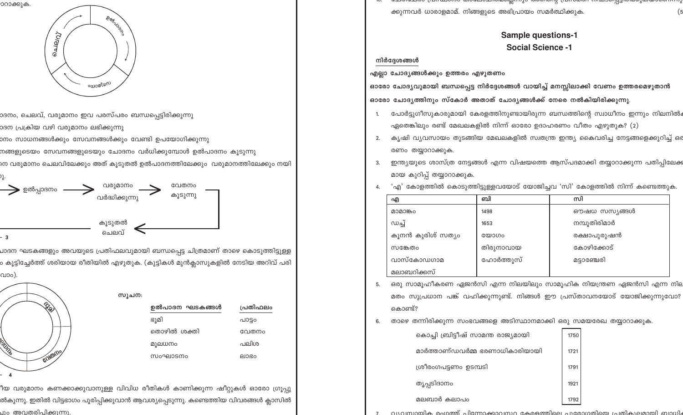ീയ വരുമാനം കണക്കാക്കുവാനുള്ള വിവിധ രീതികൾ കാണിക്കുന്ന ഷീറ്റുകൾ ഓരോ ഗ്രൂപ്പു ൽകുന്നു. ഇതിൽ വിട്ടഭാഗം പൂരിപ്പിക്കുവാൻ ആവശ്യപ്പെടുന്നു. കണ്ടെത്തിയ വിവരങ്ങൾ ക്ലാസ<mark>ി</mark>ൽ പാപത്രരിപിക്കുന്നു.

സൂചന

| ഉൽപാദന ഘടകങ്ങൾ | പ്രതിഫലം |
|----------------|----------|
| ഭൂമി           | പാട്ടം   |
| തൊഴിൽ ശക്തി    | വേതനം    |
| മുലധനം         | പലിശ     |
| സംഘാടനം        | ലാഭം     |

| ഉൽപാദന ഘടകങ്ങൾ | പ്ര |
|----------------|-----|
| ഭൂമി           | പാ  |
| തൊഴിൽ ശക്തി    | റേ  |
| മുലധനം         |     |

പാദന ഘടകങ്ങളും അവയുടെ പ്രതിഫലവുമായി ബന്ധപ്പെട്ട ചിത്രമാണ് താഴെ കൊടുത്തിട്ടുള്ള ം കൂട്ടിച്ചേർത്ത് ശരിയായ രീതിയിൽ എഴുതുക. (കുട്ടികൾ മുൻക്ലാസുകളിൽ നേടിയ അറിവ് പരി

| ഉൽപ്പാദനം | വരുമാനം<br>വർദ്ധിക്കുന്നു | വേതനം<br>കൂടുന്നു |
|-----------|---------------------------|-------------------|
| - 3       | കൂടുതൽ<br>ചെലവ്           |                   |

നങ്ങളുടെയം സേവനങ്ങളുടെയും ചോദനം വർധിക്കുമ്പോൾ ഉൽപാദനം കൂടുന്ന<mark>ു</mark> നെ വരുമാനം ചെലവിലേക്കും അത് കൂടുതൽ ഉൽപാദനത്തിലേക്കും വരുമാനത്തിലേക്കും നയി

ാനം സാധനങ്ങൾക്കും സേവനങ്ങൾക്കും വേണ്ടി ഉപയോഗിക്കുന്ന<mark>ു</mark>

ാദന പ്രക്രിയ വഴി വരുമാനം ലഭിക്കുന്നു

്റാരക്കുക.

വാം).

GOILDINO

ാദനം, ചെലവ്, വരുമാനം ഇവ പരസ്പരം ബന്ധപ്പെട്ടിരിക്കുന്നു



<u> രാഗ്രയസ്സെന്നാവായായോയിരുന്നുവരുന്നുവരു (വനയെന്നുവരുന്നാരുന്നു) സമ്പാര്യ</u> ക്കുന്നവർ ധാരാളമാമ്. നിങ്ങളുടെ അഭിപ്രായം സമർത്ഥിക്കുക.

| എ                 | ബി        | സി           |
|-------------------|-----------|--------------|
| മാമാങ്കം          | 1498      | ഔഷധ സസ്യങ്ങൾ |
| ഡച്ച്             | 1653      | നമ്പൂതിരിമാർ |
| കൂനൻ കുരിശ് സത്യം | യോഗം      | രക്ഷാപുരുഷൻ  |
| സങ്കേത്രം         | തിരുനാവായ | കോഴിക്കോട്   |
| വാസ്കോഡഗാമ        | ഹോർത്തുസ് | മട്ടാഞ്ചേരി  |
| മലാബറിക്കസ്       |           |              |

ഒരു സാമൂഹീകരണ ഏജൻസി എന്ന നിലയിലും സാമൂഹിക നിയന്ത്രണ ഏജൻസി എന്ന നില

മതം സുപ്രധാന പങ്ക് വഹിക്കുന്നുണ്ട്. നിങ്ങൾ ഈ പ്രസ്താവനയോട് യോജിക്കുന്നുവോ?

1750

1721

1791

1921

1792

താഴെ തന്നിരിക്കുന്ന സംഭവങ്ങളെ അടിസ്ഥാനമാക്കി ഒരു സമയരേഖ തയ്യാറാക്കുക.

കൊച്ചി ബ്രിട്ടീഷ് സാമന്ത രാജ്യമായി

ശ്രീരംഗപട്ടണം ഉടമ്പടി

തൃപ്പടിദാനം

മലബാർ കലാപം

മാർത്താണ്ഡവർമ്മ ഭരണാധികാരിയായി

- 'എ' കോളത്തിൽ കൊടുത്തിട്ടുള്ളവയോട് യോജിച്ചവ 'സി' കോളത്തിൽ നിന്ന് കണ്ടെത്തുക. 4.
- മായ കുറിപ്പ് തയ്യാറാക്കുക.
- രണം തയ്യാറാക്കുക. ഇന്ത്യയുടെ ശാസ്ത്ര നേട്ടങ്ങൾ എന്ന വിഷയത്തെ ആസ്പദമാക്കി തയ്യാറാക്കുന്ന പതിപ്പിലേക്ക 3.
- കൃഷി വ്യവസായം തുടങ്ങിയ മേഖലകളിൽ സ്വതന്ത്ര ഇന്ത്യ കൈവരിച്ച നേട്ടങ്ങളെക്കുറിച്ച് ഒര 2.
- പോർട്ടുഗീസുകാരുമായി കേരളത്തിനുണ്ടായിരുന്ന ബന്ധത്തിന്റെ സ്വാധീനം ഇന്നും നിലനിൽം 1. ഏതെങ്കിലും രണ്ട് മേഖലകളിൽ നിന്ന് ഓരോ ഉദാഹരണം വീതം എഴുതുക? (2)

ഓരോ ചോദ്യവുമായി ബന്ധപ്പെട്ട നിർദ്ദേശങ്ങൾ വായിച്ച് മനസ്സിലാക്കി വേണം ഉത്തരമെഴുതാൻ ഓരോ ചോദ്യത്തിനും സ്കോർ അതാത് ചോദ്യങ്ങൾക്ക് നേരെ നൽകിയിരിക്കുന്നു.

നിർദ്ദേശങ്ങൾ എല്ലാ ചോദ്യങ്ങൾക്കും ഉത്തരം എഴുതണം

5.

6.

കൊണ്ട്?

**Sample questions-1 Social Science -1** 

(5

വധ്വസായിക രംഗത്ത് ചിന്നോക്കാവസ്ഥ കേരളത്തിലെ ചുരോഗതിയെ ച്രതികാലമായി ബാധിം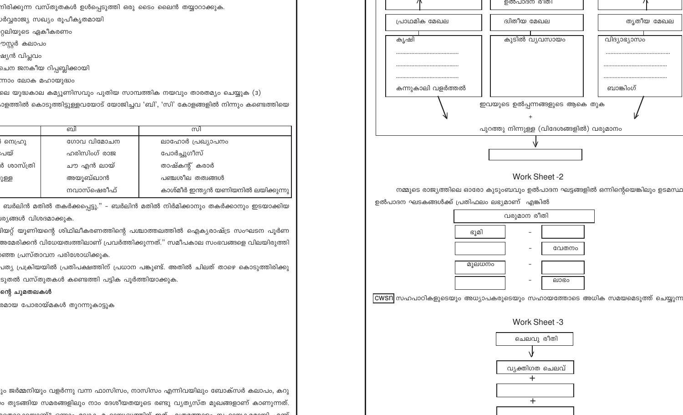.<br>നിരിക്കുന്ന വസ്തുതകൾ ഉൾപ്പെടുത്തി ഒരു ടൈം ലൈൻ തയ്യാറാക്കുക.

.<br>ലെ യുദ്ധകാല കമ്യൂണിസവും പുതിയ സാമ്പത്തിക നയവും താരതമ്യം ചെയ്യുക (3)

.<br>ാളത്തിൽ കൊടുത്തിട്ടുള്ളവയോട് യോജിച്ചവ 'ബി', 'സി' കോളങ്ങളിൽ നിന്നും കണ്ടെത്തിയെ

ബർലിൻ മതിൽ തകർക്കപ്പെട്ടു." – ബർലിൻ മതിൽ നിർമിക്കാനും തകർക്കാനും ഇടയാക്കിയ

.<br>ദിയറ്റ് യൂണിയന്റെ ശിഥിലീകരണത്തിന്റെ പശ്ചാത്തലത്തിൽ ഐക്യരാഷ്ട്ര സംഘടന പൂർണ

.<br>അമേരിക്കൻ വിധേയത്വത്തിലാണ് പ്രവർത്തിക്കുന്നത്." സമീപകാല സംഭവങ്ങളെ വിലയിരുത്ത<mark>ി</mark>

പത്യ പ്രക്രിയയിൽ പ്രതിപക്ഷത്തിന് പ്രധാന പങ്കുണ്ട്. അതിൽ ചിലത് താഴെ കൊടുത്തിരിക്കു

ും ജർമ്മനിയും വളർന്നു വന്ന ഫാസിസം, നാസിസം എന്നിവയിലും ബോക്സർ കലാപം, കറു .<br>ര തുടങ്ങിയ സമരങ്ങളിലും നാം ദേശീയതയുടെ രണ്ടു വ്യത്യസ്ത മുഖങ്ങളാണ് കാണുന്നത്.

്സി ലാഹോർ പ്രഖ്യാപനം

പോർച്ചുഗീസ്

താഷ്കന്റ് കരാർ

പഞ്ചശീല തത്വങ്ങൾ

കാശ്മീർ ഇന്ത്യൻ യണിയനിൽ ലയിക്കുന്നു

ുർവ്വരാജ്യ സഖ്യം രൂപീകൃത<mark>മാ</mark>യി

റ്റലിയുടെ ഏകീകരണം

ചെന ജനകീയ റിപ്പബ്ലി<mark>ക്കായി</mark>

வி

ഗോവ വിമോചന

ഹരിസിംഗ് രാജ

ചൗ എൻ ലായ്

നവാസ്ഷെരീഫ്

ടുതൽ വസ്തുതകൾ കണ്ടെത്തി പട്ടിക പൂർത്തിയാക്കുക.

അയുബ്ഖാൻ

ന്നാം ലോക മഹായുദ്ധം

ശ്യങ്ങൾ വിശദമാക്കുക.

ന്റെ ചുമതലകൾ

)ഞ്ഞ പ്രസ്താവന പരിശോധിക്കുക.

രമായ പോരായ്മകൾ തുറന്നുകാട്ടുക

ൗസ്റ്റർ കലാപം ഷ്യൻ വിപ്ലവം

) സെഹ്രു

ർ ശാസ്ത്രി

ഃപയ്

ുള്ള



നമ്മുടെ രാജ്യത്തിലെ ഓരോ കുടുംബവും ഉൽപാദന ഘട്ടങ്ങളിൽ ഒന്നിന്റെയെങ്കിലും ഉടമസ്ഥ ഉൽപാദന ഘടകങ്ങൾക്ക് പ്രതിഫലം ലഭ്യമാണ് എങ്കിൽ

തൃതീയ മേഖല

വിദ്യാഭ്യാസം

ബാങ്കിംഗ്



|CWSN|സഹപാഠികളുടെയും അധ്യാപകരുടെയും സഹായത്തോടെ അധിക സമയമെടുത്ത് ചെയ്യുന്ന

Work Sheet -3

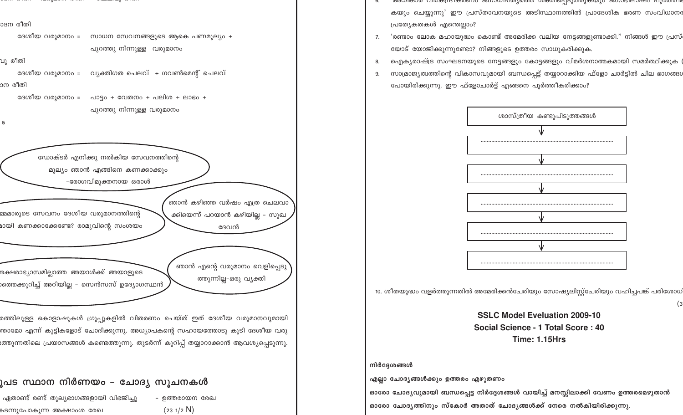

രത്തിലുള്ള കൊളാഷുകൾ ഗ്രൂപ്പുകളിൽ വിതരണം ചെയ്ത് ഇത് ദേശീയ വരുമാനവുമായി .<br>അാമോ എന്ന് കുട്ടികളോട് ചോദിക്കുന്നു. അധ്യാപകന്റെ സഹായത്തോടു കൂടി ദേശീയ വരു ത്തുന്നതിലെ പ്രയാസങ്ങൾ കണ്ടെത്തുന്നു. തുടർന്ന് കുറിപ്പ് തയ്യാറാക്കാൻ ആവശ്യപ്പെടുന്നു.

# ുപട സ്ഥാന നിർണയം – ചോദ്യ സുചനകൾ

ഏതാണ്ട് രണ്ട് തുല്യഭാഗങ്ങളായി വിഭജിച്ചു – ഉത്തരായന രേഖ കടന്നുപോകുന്ന അക്ഷാ<mark>ം</mark>ശ രേഖ  $(231/2)$ 

- അന്വയാര വ്വക്തേദ്രജ്ഞാ ജനാധ്വപ്തിനെത് രക്ത്വളെടുത്തുകയുടെ ജനാഭിലാഷ്ട ചൂരത്തി ഭ കയും ചെയ്യുന്നു' ഈ പ്രസ്താവനയുടെ അടിസ്ഥാനത്തിൽ പ്രാദേശിക ഭരണ സംവിധാനര പ്രത്യേകതകൾ എന്തെല്ലാം?
- 'രണ്ടാം ലോക മഹായുദ്ധം കൊണ്ട് അമേരിക്ക വലിയ നേട്ടങ്ങളുണ്ടാക്കി." നിങ്ങൾ ഈ പ്രസ് 7. യോട് യോജിക്കുന്നുണ്ടോ? നിങ്ങളുടെ ഉത്തരം സാധൂകരിക്കുക.
- ഐക്യരാഷ്ട്ര സംഘടനയുടെ നേട്ടങ്ങളും കോട്ടങ്ങളും വിമർശനാത്മകമായി സമർത്ഥിക്കുക 8.
- സാമ്രാജ്യത്വത്തിന്റെ വികാസവുമായി ബന്ധപ്പെട്ട് തയ്യാറാക്കിയ ഫ്ളോ ചാർട്ടിൽ ചില ഭാഗങ്ങശ 9. പോയിരിക്കുന്നു. ഈ ഫ്ളോചാർട്ട് എങ്ങനെ പൂർത്തീകരിക്കാം?



10. ശീതയുദ്ധം വളർത്തുന്നതിൽ അമേരിക്കൻചേരിയും സോഷ്യലിസ്റ്റ്ചേരിയും വഹിച്ചപങ്ക് പരിശോധ

**SSLC Model Eveluation 2009-10** Social Science - 1 Total Score: 40 **Time: 1.15Hrs** 

### നിർദ്ദേശങ്ങൾ

എല്ലാ ചോദ്യങ്ങൾക്കും ഉത്തരം എഴുതണം

ഓരോ ചോദൃവുമായി ബന്ധപ്പെട്ട നിർദ്ദേശങ്ങൾ വായിച്ച് മനസ്സിലാക്കി വേണം ഉത്തരമെഴുതാൻ ഓരോ ചോദ്യത്തിനും സ്കോർ അതാത് ചോദ്യങ്ങൾക്ക് നേരെ നൽകിയിരിക്കുന്നു.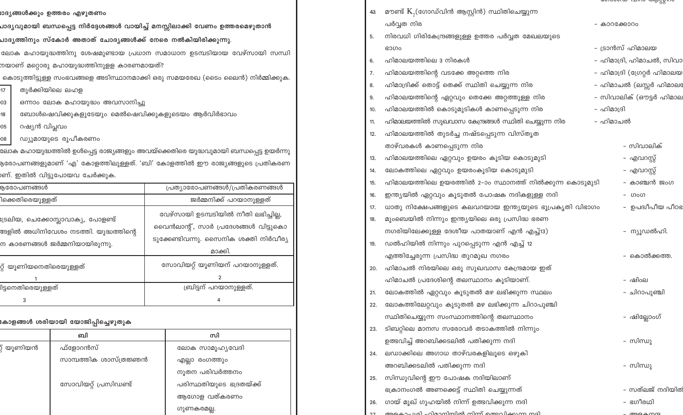| render managemental contemplatence fundatil diametri Seriusion eraktionen diametri                           |                                                  |                                                                                                                                |                                                                                                     |  |
|--------------------------------------------------------------------------------------------------------------|--------------------------------------------------|--------------------------------------------------------------------------------------------------------------------------------|-----------------------------------------------------------------------------------------------------|--|
| നയാണ് മറ്റൊരു മഹായുദ്ധത്തിനുളള കാരണമായത്?                                                                    |                                                  |                                                                                                                                |                                                                                                     |  |
|                                                                                                              |                                                  |                                                                                                                                | കൊടുത്തിട്ടുള്ള സംഭവങ്ങളെ അടിസ്ഥാനമാക്കി ഒരു സമയരേഖ (ടൈം ലൈൻ) നിർമ്മിക്കുക.                         |  |
| 17                                                                                                           | തുർക്കിയിലെ ലഹള                                  |                                                                                                                                |                                                                                                     |  |
| 03                                                                                                           | ഒന്നാം ലോക മഹായുദ്ധം അവസാനിച്ചു                  |                                                                                                                                |                                                                                                     |  |
| 18                                                                                                           | ബോൾഷെവിക്കുകളുടേയും മെൽഷെവിക്കുകളുടെയം ആർവിർഭാവം |                                                                                                                                |                                                                                                     |  |
| റഷ്യൻ വിപ്ലവം<br>05                                                                                          |                                                  |                                                                                                                                |                                                                                                     |  |
| 08                                                                                                           | ഡ്യുമായുടെ രൂപീകരണം                              |                                                                                                                                |                                                                                                     |  |
|                                                                                                              |                                                  |                                                                                                                                | ലോക മഹായുദ്ധത്തിൽ ഉൾപ്പെട്ട രാജ്യങ്ങളും അവയ്ക്കെതിരെ യുദ്ധവുമായി ബന്ധപ്പ <mark>െ</mark> ട്ട ഉയർന്നു |  |
|                                                                                                              |                                                  |                                                                                                                                | ഉരോപണങ്ങളുമാണ് 'എ' കോളത്തിലുള്ളത്. 'ബി' കോളത്തിൽ ഈ രാജ <mark>്യ</mark> ങ്ങളുടെ പ്രതികരണ             |  |
|                                                                                                              | .<br>ണ്. ഇതിൽ വിട്ടുപോയവ ചേർക്കു <mark>ക.</mark> |                                                                                                                                |                                                                                                     |  |
| രുരോപണങ്ങൾ                                                                                                   |                                                  |                                                                                                                                | പ്രത്യാരോപണങ്ങൾ/പ്രതികരണങ്ങൾ                                                                        |  |
| ിക്കെതിരെയുള്ളത്                                                                                             |                                                  | ജർമ്മനിക്ക് പറയാനുള്ളത്                                                                                                        |                                                                                                     |  |
| ഃട്രലിയ, ചെക്കോസ്ലാവാക്യ, പോളണ്ട്<br>ങ്ങളിൽ അധിനിവേശം നടത്തി. യുദ്ധത്തിന്റെ<br>ന കാരണങ്ങൾ ജർമ്മനിയായിരുന്നു. |                                                  | വേഴ്സായി ഉടമ്പടിയിൽ നീതി ലഭിച്ചില്ല,<br>വൈൻലാന്റ്, സാർ പ്രദേശങ്ങൾ വിട്ടുകൊ<br>ടുക്കേണ്ടിവന്നു. സൈനിക ശക്തി നിർവീര്യ<br>മാക്കി. |                                                                                                     |  |
| റ്റ് യൂണിയനെതിരെയുള്ളത്<br>1                                                                                 |                                                  |                                                                                                                                | സോവിയറ്റ് യൂണിയന് പറയാനുള്ളത്.<br>$\overline{2}$                                                    |  |
| .<br>ദ്വരണതിരെയുള്ളത്                                                                                        |                                                  | ബ്രിട്ടന് പറയാനുള്ളത്.                                                                                                         |                                                                                                     |  |
| 3                                                                                                            |                                                  | 4                                                                                                                              |                                                                                                     |  |
|                                                                                                              | കോളങ്ങൾ ശരിയായി യോജിപ്പിച്ചെഴുതു <mark>ക</mark>  |                                                                                                                                |                                                                                                     |  |
|                                                                                                              | ബി                                               |                                                                                                                                | സി                                                                                                  |  |
| ്റ് യൂണിയൻ                                                                                                   | ഫ്ളോറൻസ്                                         |                                                                                                                                | ലോക സാമൂഹ്യവേദി                                                                                     |  |
| സാമ്പത്തിക ശാസ്ത്രജ്ഞൻ                                                                                       |                                                  |                                                                                                                                | എല്ലാ രംഗത്തും                                                                                      |  |

നുതന പരിവർത്തനം

ആഗോള വത്കരണം

ഗുണകരമല്ല.

പരിസ്ഥതിയുടെ ഭദ്രതയ്ക്ക്

 $\sim$ 

ലോക മഹായുദ്ധത്തിനു ശേഷമുണ്ടായ ച്രധാന സമാധാന ജെമ്പടിയായ ഭവര്മ്പായി സമ്പ്യ ოდ

ചാദൃത്തിനും സ്കോർ അതാത് ചോദൃങ്ങൾക്ക് നേരെ നൽകിയിരിക്കുന്നു.

സോവിയറ്റ് പ്രസിഡണ്ട്

പാദ്യവുമായി ബന്ധപ്പെട്ട നിർദ്ദേശങ്ങൾ വായിച്ച് മനസ്സിലാക്കി വേണം ഉത്തരമെഴുതാൻ

ഥദ്യങ്ങൾക്കും ഉത്തരം എഴുതണം

 $4a$  മൗണ്ട്  $K<sub>2</sub>$ (ഗോഡ്വിൻ ആസ്റ്റിൻ) സ്ഥിതിചെയ്യുന്ന പർവ്വത നിര - കാറക്കോറം നിരവധി ഗിരികേന്ദ്രങ്ങളുള്ള ഉത്തര പർവ്വത മേഖലയുടെ 5. - ദാൻസ് ഹിമാലയ ഭാഗം - ഹിമാദ്രി, ഹിമാചൽ, സിവാ ഹിമാലയത്തിലെ 3 നിരകൾ 6. ഹിമാലയത്തിന്റെ വടക്കേ അറ്റത്തെ നിര – ഹിമാദ്രി (ഗ്രേറ്റർ ഹിമാലയ 7. ഹിമാദ്രിക്ക് തൊട്ട് തെക്ക് സ്ഥിതി ചെയ്യുന്ന നിര - ഹിമാചൽ (ലസ്സർ ഹിമാലര 8 ഹിമാലയത്തിന്റെ ഏറ്റവും തെക്കേ അറ്റത്തുള്ള നിര - സിവാലിക് (ഔട്ടർ ഹിമാല 9. ഹിമാലയത്തിൽ കൊടുമുടികൾ കാണപ്പെടുന്ന നിര - ഹിമാദ്രി 10. ഹിമാലയത്തിൽ സുഖവാസ കേന്ദ്രങ്ങൾ സ്ഥിതി ചെയ്യുന്ന നിര – ഹിമാചൽ 11. ഹിമാലയത്തിൽ തുടർച്ച നഷ്ടപ്പെടുന്ന വിസ്തൃത  $12.$ താഴ്വരകൾ കാണപ്പെടുന്ന നിര - സിവാലിക് ഹിമാലയത്തിലെ ഏറ്റവും ഉയരം കൂടിയ കൊടുമുടി - എവറസ്റ്റ് 13. ലോകത്തിലെ ഏറ്റവും ഉയരംകൂടിയ കൊടുമുടി - എവറസ്റ്റ് 14. ഹിമാലയത്തിലെ ഉയരത്തിൽ 2–ാം സ്ഥാനത്ത് നിൽക്കുന്ന കൊടുമുടി – കാഞ്ചൻ ജംഗ 15. ഇന്ത്യയിൽ ഏറ്റവും കൂടുതൽ പോഷക നദികളുള്ള നദി 16. - ഗംഗ - ഉപദ്വീപീയ പീഠഭ ധാതു നിക്ഷേപങ്ങളുടെ കലവറയായ ഇന്ത്യയുടെ ഭൂപ്രകൃതി വിഭാഗം 17. മുംബെയിൽ നിന്നും ഇന്ത്യയിലെ ഒരു പ്രസിദ്ധ ഭരണ 18. നഗരിയിലേക്കുള്ള ദേശീയ പാതയാണ് എൻ എച്ച്13) – ന്യൂഡൽഹി. ഡൽഹിയിൽ നിന്നും പുറപ്പെടുന്ന എൻ എച്ച് 12 19. എത്തിച്ചേരുന്ന പ്രസിദ്ധ തുറമുഖ നഗരം – കൊൽക്കത്ത ഹിമാചൽ നിരയിലെ ഒരു സുഖവാസ കേന്ദ്രമായ ഇത് 20. ഹിമാചൽ പ്രദേശിന്റെ തലസ്ഥാനം കൂടിയാണ്. - ഷിംല ലോകത്തിൽ ഏറ്റവും കൂടുതൽ മഴ ലഭിക്കുന്ന സ്ഥലം – ചിറാപുഞ്ചി  $21.$ ലോകത്തിലേറ്റവും കൂടുതൽ മഴ ലഭിക്കുന്ന ചിറാപൂഞ്ചി  $22.$ സ്ഥിതിചെയ്യുന്ന സംസ്ഥാനത്തിന്റെ തലസ്ഥാനം – ഷില്ലോംഗ് 23. ടിബറ്റിലെ മാനസ സരോവർ തടാകത്തിൽ നിന്നും ഉത്ഭവിച്ച് അറബിക്കടലിൽ പതിക്കുന്ന നദി - സിന്ധു ലഡാക്കിലെ അഗാധ താഴ്വരകളിലുടെ ഒഴുകി 24. അറബിക്കടലിൽ പതിക്കുന്ന നദി - സിന്ധു സിന്ധുവിന്റെ ഈ പോഷക നദിയിലാണ് 25. ഭക്രാനംഗൽ അണക്കെട്ട് സ്ഥിതി ചെയ്യുന്നത് – സത്ലജ് നദിയിത് 26. ഗായ് മുഖ് ഗുഹയിൽ നിന്ന് ഉത്ഭവിക്കുന്ന നദി - ഭഗീരഥി അദേവം വരി ഹിമായിയിൽ സിന്റ് തെറ്ററി വേയ സറി  $m$  $\Omega$ 

CONDOLLO CONTO COLONICANTO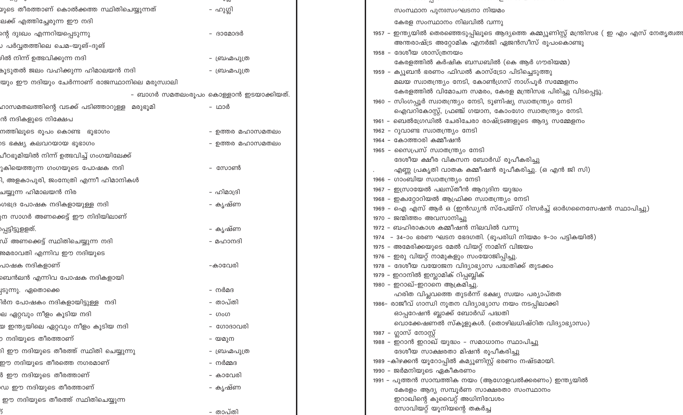| ഴുടെ തീരത്താണ് കൊൽക്കത്ത സ്ഥിതിചെയ്യുന്നത്         | – ഹുഗ്ലി                              | സംസ്ഥാന പുനഃസംഘടനാ നിയമം                                                                                    |
|----------------------------------------------------|---------------------------------------|-------------------------------------------------------------------------------------------------------------|
| ലക്ക് എത്തിച്ചേരുന്ന ഈ നദി                         |                                       | കേരള സംസ്ഥാനം നിലവിൽ വന്നു                                                                                  |
| ന്റെ ദുഃഖം എന്നറിയപ്പെടുന്നു<br>- ദാമോദർ           |                                       | 1957 – ഇന്ത്യയിൽ തെരഞ്ഞെടുപ്പിലൂടെ ആദ്യത്തെ കമ്മ്യൂണിസ്റ്റ് മന്ത്രിസഭ ( ഇ എം എസ് നേതൃത്വത                   |
| › പർവ്വതത്തിലെ ചെമ−യുങ്−ദുങ്                       |                                       | അന്തരാഷ്ട്ര അറ്റോമിക എനർജി ഏജൻസീസ് രൂപംകൊണ്ടു                                                               |
| ിൽ നിന്ന് ഉത്ഭവിക്കുന്ന നദി                        | - ബ്രഹ്മപുത്ര                         | 1958 – ദേശീയ ശാസ്ത്രനയം                                                                                     |
| പ്പെടുതൽ ജലം വഹിക്കുന്ന ഹിമാലയൻ നദി                | - ബ്രഹ്മപുത്ര                         | കേരളത്തിൽ കർഷിക ബന്ധബിൽ (കെ ആർ ഗൗരിയമ്മ)                                                                    |
|                                                    |                                       | 1959 - ക്യൂബൻ ഭരണം ഫിഡൽ കാസ്ട്രോ പിടിച്ചെടുത്തു<br>മലയ സ്വാതന്ത്ര്യം നേടി, കോൺഗ്രസ് നാഗ്പൂർ സമ്മേളനം        |
| യും ഈ നദിയും ചേർന്നാണ് രാജസ്ഥാനിലെ മരുസ്വാലി       |                                       | കേരളത്തിൽ വിമോചന സമരം, കേരള മന്ത്രിസഭ പിരിച്ചു വിടപ്പെട്ടു.                                                 |
|                                                    | – ബാഗർ സമതലംരൂപം കൊള്ളാൻ ഇടയാക്കിയത്. | 1960 - സിംഗപ്പൂർ സ്വാതന്ത്ര്യം നേടി, ടൂണിഷ്യ സ്വാതന്ത്ര്യം നേടി                                             |
| റാസമതലത്തിന്റെ വടക്ക് പടിഞ്ഞാറുള്ള  മരുഭൂമി        | – ഥാർ                                 | ഐവറികോസ്റ്റ്, ഫ്രഞ്ച് ഗയാന, കോംഗോ സ്വാതന്ത്ര്യം നേടി.                                                       |
| ൻ നദികളുടെ നിക്ഷേപ                                 |                                       | 1961 - ബെൽഗ്രേഡിൽ ചേരിചേരാ രാഷ്ട്രങ്ങളുടെ ആദ്യ സമ്മേളനം                                                     |
| നത്തിലൂടെ രൂപം കൊണ്ട ഭൂഭാഗം                        | - ഉത്തര മഹാസമതലം                      | 1962 - റുവാണ്ട സ്വാതന്ത്ര്യം നേടി                                                                           |
| ട ഭക്ഷ്യ കലവറയായ ഭൂഭാഗം                            | - ഉത്തര മഹാസമതലം                      | 1964 - കോത്താരി കമ്മീഷൻ                                                                                     |
| ചീഠഭൂമിയിൽ നിന്ന് ഉത്ഭവിച്ച് ഗംഗയിലേക്ക്           |                                       | 1965 - സൈപ്രസ് സ്വാതന്ത്ര്യം നേടി                                                                           |
| ുകിയെത്തുന്ന ഗംഗയുടെ പോഷക നദി                      | – സോൺ                                 | ദേശീയ ക്ഷീര വികസന ബോർഡ് രൂപീകരിച്ചു<br>എണ്ണ പ്രകൃതി വാതക കമ്മീഷൻ രൂപീകരിച്ചു. (ഒ എൻ ജി സി)                  |
| l, അളകാപുരി, ജംനേത്രി എന്ന <mark>ീ</mark> ഹിമാനികൾ |                                       | 1966 - ഗാംബിയ സ്വാതന്ത്ര്യം നേടി                                                                            |
| പയ്യുന്ന ഹിമാലയൻ നിര                               | – ഹിമാദ്രി                            | 1967 – ഇസ്രായേൽ പലസ്തീൻ ആറുദിന യുദ്ധം                                                                       |
|                                                    |                                       | 1968 - ഇക്വറ്റോറിയൽ ആഫ്രിക്ക സ്വാതന്ത്ര്യം നേടി                                                             |
| ഗഭദ്ര പോഷക നദികളായുള്ള നദി                         | – കൃഷ്ണ                               | 1969 – ഐ എസ് ആർ ഒ (ഇൻഡ്യൻ സ്പേയ്സ് റിസർച്ച് ഓർഗനൈസേഷൻ സ്ഥാപിച്ചു)                                           |
| ന സാഗർ അണക്കെട്ട് ഈ നിദിയിലാണ്                     |                                       | 1970 - ജന്മിത്തം അവസാനിച്ചു                                                                                 |
| പ്പട്ടിട്ടുളളത്.                                   | – കൃഷ്ണ                               | 1972 - ബഹിരാകാശ കമ്മീഷൻ നിലവിൽ വന്നു                                                                        |
| ഡ് അണക്കെട്ട് സ്ഥിതിചെയ്യുന്ന നദി                  | – മഹാനദി                              | 1974 - 34-ാം ഭരണ ഘടന ഭേദഗതി. (ഭൂപരിധി നിയമം 9-ാം പട്ടികയിൽ)<br>1975 - അമേരിക്കയുടെ മേൽ വിയറ്റ് നാമിന് വിജയം |
| രമരാവതി എന്നിവ ഈ നദിയുടെ                           |                                       | 1976 - ഇരു വിയറ്റ് നാമുകളും സംയോജിപ്പിച്ചു.                                                                 |
| പാഷക നദികളാണ്                                      | -കാവേരി                               | 1978 - ദേശീയ വയോജന വിദ്യാഭ്യാസ പദ്ധതിക്ക് തുടക്കം                                                           |
| ബെൻലൻ എന്നിവ പോഷക നദികളായി                         |                                       | 1979 - ഇറാനിൽ ഇസ്ലാമിക് റിപ്പബ്ലിക്                                                                         |
| ട്രുന്നു. ഏതൊക്കെ                                  | – നർമദ                                | 1980 - ഇറാഖ്-ഇറാനെ ആക്രമിച്ചു.                                                                              |
| lർന പോഷകം നദികളായിട്ടുള്ള  നദി                     | – താപ്തി                              | ഹരിത വിപ്ലവത്തെ തുടർന്ന് ഭക്ഷ്യ സ്വയം പര്യാപ്തത                                                             |
| ല ഏറ്റവും നീളം കൂട <mark>ി</mark> യ നദി            | - ഗംഗ                                 | 1986- രാജീവ് ഗാന്ധി നൂതന വിദ്യാഭ്യാസ നയം നടപ്പിലാക്കി<br>ഓപ്പറേഷൻ ബ്ലാക്ക് ബോർഡ് പദ്ധതി                     |
|                                                    |                                       | വൊക്കേഷണൽ സ്കൂളുകൾ. (തൊഴിലധിഷ്ഠിത വിദ്യാഭ്യാസം)                                                             |
| യ ഇന്ത്യയിലെ ഏറ്റവും നീളം കൂടിയ നദി                | - ഗോദാവരി                             | 1987 - ഗ്ലാസ് നോസ്റ്റ്                                                                                      |
| ) നദിയുടെ തീരത്താണ്                                | – യമുന                                | 1988 - ഇറാൻ ഇറാഖ് യുദ്ധം - സമാധാനം സ്ഥാപിച്ചു                                                               |
| ി ഈ നദിയുടെ തീരത്ത് സ്ഥിതി ചെയ്യുന്നു              | - ബ്രഹ്മപുത്ര                         | ദേശീയ സാക്ഷരതാ മിഷൻ രൂപീകരിച്ചു                                                                             |
| ഈ നദിയുടെ തീരത്തെ നഗരമാണ്<br>– നർമ്മദ              |                                       | 1989 –കിഴക്കൻ യൂറോപ്പിൽ കമ്യൂണിസ്റ്റ് ഭരണം നഷ്ടമായി.                                                        |
| 3 ഈ നദിയുടെ തീരത്താണ <mark>്</mark>                | - കാവേരി                              | 1990 - ജർമനിയുടെ ഏകീകരണം<br>1991 - പുത്തൻ സാമ്പത്തിക നയം (ആഗോളവൽക്കരണം) ഇന്ത്യയിൽ                           |
| ഡ ഈ നദിയുടെ തീരത്താണ്                              | – കൃഷ്ണ                               | കേരളം ആദ്യ സമ്പൂർണ സാക്ഷരതാ സംസ്ഥാനം                                                                        |
| ഈ നദിയുടെ തീരത്ത് സ്ഥിതിചെയ്യുന്ന                  |                                       | ഇറാഖിന്റെ കുവൈറ്റ് അധിനിവേശം                                                                                |
|                                                    | - താപ്തി                              | സോവിയറ്റ് യൂനിയന്റെ തകർച്ച                                                                                  |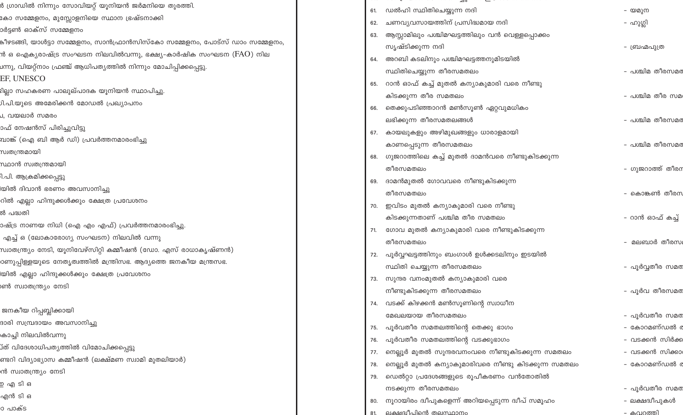| 8 ഗ്രാഡിൽ നിന്നും സോവിയറ്റ് യൂനിയൻ ജർമനിയെ തുരത്തി.                        |     |                                                                                    |                             |
|----------------------------------------------------------------------------|-----|------------------------------------------------------------------------------------|-----------------------------|
| കോ സമ്മേളനം, മുസ്സോളനിയെ സ്ഥാന ഭ്രഷ്ടനാക്കി                                |     | 61. ഡൽഹി സ്ഥിതിചെയ്യുന്ന നദി                                                       | - യമുന                      |
| ാർട്ടൺ ഓക്സ് സമ്മേളനം                                                      | 62. | ചണവൃവസായത്തിന് പ്രസിദ്ധമായ നദി                                                     | – ഹുഗ്ലി                    |
| കീഴടങ്ങി, യാൾട്ടാ സമ്മേളനം, സാൻഫ്രാൻസിസ്കോ സമ്മേളനം, പോട്സ് ഡാം സമ്മേളനം,  |     | 63. ആസ്സാമിലും പശ്ചിമഘട്ടത്തിലും വൻ വെള്ളപ്പൊക്കം                                  |                             |
| ൻ ഒ ഐക്യരാഷ്ട്ര സംഘടന നിലവിൽവന്നു, ഭക്ഷ്യ–കാർഷിക സംഘടന ( ${\rm FAO}$ ) നില |     | സൃഷ്ടിക്കുന്ന നദി                                                                  | - ബ്രഹ്മപുത്ര               |
| ഥ്നു, വിയറ്റ്നാം ഫ്രഞ്ച് ആധിപത്യത്തിൽ നിന്നും മോചിപ്പിക്കപ്പെട്ടു.         | 64. | അറബി കടലിനും പശ്ചിമഘട്ടത്തനുമിടയിൽ                                                 |                             |
| EF, UNESCO                                                                 |     | സ്ഥിതിചെയ്യുന്ന തീരസമതലം                                                           | - പശ്ചിമ തീരസമര             |
| ില്ലാ സഹകരണ പാലുല്പാദക യൂനിയൻ സ്ഥാപിച്ചു.                                  |     | 65. റാൻ ഓഫ് കച്ച് മുതൽ കന്യാകുമാരി വരെ നീണ്ടു                                      |                             |
| )ി.പി.യുടെ അമേരിക്കൻ മോഡൽ പ്രഖ്യാപനം                                       |     | കിടക്കുന്ന തീര സമതലം                                                               | - പശ്ചിമ തീര സമ             |
| J, വയലാർ സമര <mark>ം</mark>                                                |     | 66. തെക്കുപടിഞ്ഞാറൻ മൺസൂൺ ഏറ്റവുമധികം                                              |                             |
| ാഫ് നേഷൻസ് പിരിച്ചുവിട്ടു                                                  |     | ലഭിക്കുന്ന തീരസമതലങ്ങൾ                                                             | - പശ്ചിമ തീരസമര             |
| വാങ്ക് (ഐ ബി ആർ ഡി) പ്രവർത്തനമാരംഭിച്ചു                                    |     | 67. കായലുകളും അഴിമുഖങ്ങളും ധാരാളമായി                                               |                             |
| സ്വതന്ത്രമായി                                                              |     | കാണപ്പെടുന്ന തീരസമതലം                                                              | - പശ്ചിമ തീരസമര             |
| സ്ഥാൻ സ്വതന്ത്രമായി                                                        |     | 68. ഗുജറാത്തിലെ കച്ച് മുതൽ ദാമൻവരെ നീണ്ടുകിടക്കുന്ന                                |                             |
| 1.പി. ആക്രമിക്കപ്പെട്ടു                                                    |     | തീരസമതലം                                                                           | - ഗുജറാത്ത് തീരറ            |
| യിൽ ദിവാൻ ഭരണം അവസാനിച്ചു                                                  |     | 69. ദാമൻമുതൽ ഗോവവരെ നീണ്ടുകിടക്കുന്ന                                               |                             |
| റിൽ എല്ലാ ഹിന്ദുക്കൾക്കു <mark>ം</mark> ക്ഷേത്ര പ്രവേശനം                   |     | തീരസമതലം                                                                           | – കൊങ്കൺ തീരന               |
| ൽ പദ്ധതി                                                                   |     | 70. ഇവിടം മുതൽ കന്യാകുമാരി വരെ നീണ്ടു                                              |                             |
| ാഷ്ട്ര നാണയ നിധി (ഐ എം എഫ്) പ്രവർത്തനമാരംഭിച്ചു.                           |     | കിടക്കുന്നതാണ് പശ്ചിമ തീര സമതലം                                                    | – റാൻ ഓഫ് കച്ച്             |
| എച്ച് ഒ (ലോകാരോഗ്യ സംഘടന) നിലവിൽ വന്നു                                     |     | 71. ഗോവ മുതൽ കന്യാകുമാരി വരെ നീണ്ടുകിടക്കുന്ന                                      |                             |
| സ്വാതന്ത്ര്യം നേടി, യൂനിവേഴ്സിറ്റി കമ്മീഷൻ (ഡോ. എസ് രാധാകൃഷ്ണൻ)            |     | തീരസമതലം                                                                           | – മലബാർ തീരസ                |
| ാണുപ്പിള്ളയുടെ നേതൃത്വത്തിൽ മന്ത്രിസഭ. ആദ്യത്തെ ജനകീയ മന്ത്രസഭ.            |     | 72. പൂർവ്വഘട്ടത്തിനും ബംഗാൾ ഉൾക്കടലിനും ഇടയിൽ                                      |                             |
| യിൽ എല്ലാ ഹിന്ദുക്കൾക്കും ക്ഷേത്ര പ്രവേശനം                                 |     | സ്ഥിതി ചെയ്യുന്ന തീരസമതലം                                                          | - പൂർവ്വതീര സമര             |
| ൺ സ്വാതന്ത്ര്യം നേടി                                                       |     | 73.   സുന്ദര വനംമുതൽ കന്യാകുമാരി വരെ                                               |                             |
|                                                                            |     | നീണ്ടുകിടക്കുന്ന തീരസമതലം                                                          | - പൂർവ തീരസമര               |
| ജനകീയ റിപ്പബ്ലിക്കായി                                                      |     | 74. വടക്ക് കിഴക്കൻ മൺസൂണിന്റെ സ്വാധീന                                              |                             |
| ദാരി സമ്പ്രദായം അവസാനിച്ചു                                                 |     | മേഖലയായ തീരസമതലം                                                                   | - പൂർവതീര സമര               |
| കാച്ചി നിലവിൽവന്നു                                                         |     | 75. പൂർവതീര സമതലത്തിന്റെ തെക്കു ഭാഗം                                               | - കോറമണ്ഡൽ ര                |
| ്ത് വിദേശാധിപത്യത്തിൽ വിമോചിക്കപ്പെട്ടു                                    | 76. | പൂർവതീര സമതലത്തിന്റെ വടക്കുഭാഗം                                                    | – വടക്കൻ സിർക്ക             |
| ണ്ടറി വിദ്യാഭ്യാസ കമ്മീഷൻ (ലക്ഷ്മണ സ്വാമി മുതലിയാർ)                        | 77. | നെല്ലൂർ മുതൽ സുന്ദരവനംവരെ നീണ്ടുകിടക്കുന്ന സമതലം                                   | - വടക്കൻ സിക്കാ             |
| ൻ സ്വാതന്ത്ര്യം നേടി                                                       | 78. | നെല്ലൂർ മുതൽ കന്യാകുമാരിവരെ നീണ്ടു കിടക്കുന്ന സമതലം                                | – കോറമണ്ഡൽ ര                |
| ഉഎടിഒ                                                                      | 79. | ഡെൽറ്റാ പ്രദേശങ്ങളുടെ രൂപീകരണം വൻതോതിൽ                                             |                             |
| എൻ ടി ഒ                                                                    |     | നടക്കുന്ന തീരസമതലം                                                                 | - പൂർവതീര സമര               |
| ാ പാക്ട                                                                    |     | 80.   നൂറായിരം ദ്വീപുകളെന്ന് അറിയപ്പെടുന്ന ദ്വീപ് സമൂഹം<br>ലക്ഷദ്വീപിന്റെ തലസ്ഥാനപ | – ലക്ഷദ്വീപുകൾ<br>- കവറത്തി |
|                                                                            |     |                                                                                    |                             |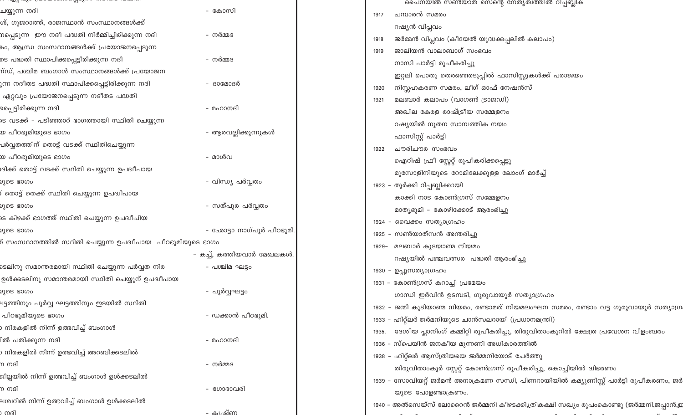|                                                             |                            | ചൈനയിൽ സൺയാത് സെന്റെ നേതൃത്വത്തിൽ റിപ്പബ്ലിക്                                          |
|-------------------------------------------------------------|----------------------------|----------------------------------------------------------------------------------------|
| ചയ്യുന്ന നദി                                                | – കോസി                     | ചമ്പാരൻ സമരം<br>1917                                                                   |
| ശ്, ഗുജറാത്ത്, രാജസ്ഥാൻ സംസ്ഥാനങ്ങൾക്ക്                     |                            | റഷ്യൻ വിപ്ലവം                                                                          |
| നപ്പെടുന്ന  ഈ നദീ പദ്ധതി നിർമ്മിച്ചിരിക്കുന്ന നദി           | – നർമ്മദ                   | ജർമ്മൻ വിപ്ലവം (കീയേൽ യുദ്ധക്കപ്പലിൽ കലാപം)<br>1918                                    |
| കം, ആന്ധ്ര സംസ്ഥാനങ്ങൾക്ക് പ്രയോജനപ്പെടുന്ന                 |                            | ജാലിയൻ വാലാബാഗ് സംഭവം<br>1919                                                          |
| തട പദ്ധതി സ്ഥാപിക്കപ്പെട്ടിരിക്കുന്ന നദി                    | – നർമ്മദ                   | നാസി പാർട്ടി രൂപീകരിച്ചു                                                               |
| ന്ഡ്, പശ്ചിമ ബംഗാൾ സംസ്ഥാനങ്ങൾക്ക് പ്രയോജന                  |                            | ഇറ്റലി പൊതു തെരഞ്ഞെടുപ്പിൽ ഫാസിസ്റ്റുകൾക്ക് പരാജയം                                     |
| ുന്ന നദീതട പദ്ധതി സ്ഥാപിക്കപ്പെട്ടിരിക്കുന്ന നദി            | - ദാമോദർ                   | നിസ്സഹകരണ സമരം, ലീഗ് ഓഫ് നേഷൻസ്<br>1920                                                |
| ഏറ്റവും പ്രയോജനപ്പെടുന്ന നദീതട പദ്ധതി                       |                            | മലബാർ കലാപം (വാഗൺ ട്രാജഡി)<br>1921                                                     |
| പ്പൈട്ടിരിക്കുന്ന നദി                                       | – മഹാനദി                   | അഖില കേരള രാഷ്ട്രീയ സമ്മേളനം                                                           |
| ടെ വടക്ക് – പടിഞ്ഞാറ് ഭാഗത്തായി സ്ഥിതി ചെയ്യുന്ന            |                            | റഷ്യയിൽ നൂതന സാമ്പത്തിക നയം                                                            |
| യ പീഠഭൂമിയുടെ ഭാഗം                                          | – ആരവല്ലിക്കുന്നുകൾ        | ഫാസിസ്റ്റ് പാർട്ടി                                                                     |
| പർവ്വതത്തിന് തൊട്ട് വടക്ക് സ്ഥിതിചെയ്യുന്ന                  |                            | ചൗരിചൗര സംഭവം<br>1922                                                                  |
| യ പീഠഭൂമിയുടെ ഭാഗം                                          | - മാൾവ                     | ഐറിഷ് ഫ്രീ സ്റ്റേറ്റ് രൂപീകരിക്കപ്പെട്ടു                                               |
| ദിക്ക് തൊട്ട് വടക്ക് സ്ഥിതി ചെയ്യുന്ന ഉപദ്വീപായ             |                            | മുസോളിനിയുടെ റോമിലേക്കുള്ള ലോംഗ് മാർച്ച്                                               |
| മുടെ ഭാഗം                                                   | - വിന്ധ്യ പർവ്വതം          | 1923 – തുർക്കി റിപ്പബ്ലിക്കായി                                                         |
| ് തൊട്ട് തെക്ക് സ്ഥിതി ചെയ്യുന്ന ഉപദ്വീപായ                  |                            | കാക്കി നാട കോൺഗ്രസ് സമ്മേളനം                                                           |
| ນຸລຣ ഭാഗം                                                   | - സത്പുര പർവ്വതം           | മാതൃഭൂമി – കോഴിക്കോട് ആരംഭിച്ചു                                                        |
| ടെ കിഴക്ക് ഭാഗത്ത് സ്ഥിതി ചെയ്യുന്ന ഉപദ്വീപിയ               |                            | 1924 - വൈക്കം സത്യാഗ്രഹം                                                               |
| മുടെ ഭാഗം                                                   | - ഛോട്ടാ നാഗ്പൂർ പീഠഭൂമി.  | 1925 – സൺയാത്സൻ അന്തരിച്ചു                                                             |
| ് സംസ്ഥാനത്തിൽ സ്ഥിതി ചെയ്യുന്ന ഉപദ്വീപായ  പീഠഭൂമിയുടെ ഭാഗം |                            | മലബാർ കുടയാണ്മ നിയമം<br>1929-                                                          |
|                                                             | - കച്ച്, കത്തിയവാർ മേഖലകൾ. | റഷ്യയിൽ പഞ്ചവത്സര  പദ്ധതി ആരംഭിച്ചു                                                    |
| ടെലിനു സമാന്തരമായി സ്ഥിതി ചെയ്യുന്ന പർവ്വത നിര              | – പശ്ചിമ ഘട്ടം             | 1930 - ഉപ്പുസത്യാഗ്രഹം                                                                 |
| ഉൾക്കടലിനു സമാന്തരമായി സ്ഥിതി ചെയ്യുന് ഉപദ്വീപായ            |                            | 1931 – കോൺഗ്രസ് കറാച്ചി പ്രമേയം                                                        |
| – പൂർവ്വഘട്ടം<br>ນ)ຸດຣ ഭວທ໐                                 |                            | ഗാന്ധി ഇർവിൻ ഉടമ്പടി, ഗുരുവായൂർ സത്യാഗ്രഹം                                             |
| ചട്ടത്തിനും പൂർവ്വ ഘട്ടത്തിനും ഇടയിൽ സ്ഥിതി                 |                            | 1932 - ജന്മി കുടിയാണ്മ നിയമം, രണ്ടാമത് നിയമലംഘന സമരം, രണ്ടാം വട്ട ഗുരുവായൂർ സത്യാഗ്ര   |
| പീഠഭൂമിയുടെ ഭാഗം                                            | - ഡക്കാൻ പീഠഭൂമി.          | 1933 - ഹിറ്റ്ലർ ജർമനിയുടെ ചാൻസലറായി (പ്രധാനമന്ത്രി)                                    |
| ാ നിരകളിൽ നിന്ന് ഉത്ഭവിച്ച് ബംഗാൾ                           |                            | ദേശീയ പ്ലാനിംഗ് കമ്മിറ്റി രൂപീകരിച്ചു, തിരുവിതാംകൂറിൽ ക്ഷേത്ര പ്രവേശന വിളംബരം<br>1935. |
| ിൽ പതിക്കുന്ന നദി                                           | – മഹാനദി                   | 1936 - സ്പെയിൻ ജനകീയ മുന്നണി അധികാരത്തിൽ                                               |
| ാ നിരകളിൽ നിന്ന് ഉത്ഭവിച്ച് അറബിക്കടലിൽ                     |                            | 1938 - ഹിറ്റ്ലർ ആസ്ത്രിയയെ ജർമ്മനിയോട് ചേർത്തു                                         |
| ന നദി                                                       | – നർമ്മദ                   |                                                                                        |
| ജില്ലയിൽ നിന്ന് ഉത്ഭവിച്ച് ബംഗാൾ ഉൾക്കടലിൽ                  |                            | തിരുവിതാംകൂർ സ്റ്റേറ്റ് കോൺഗ്രസ് രൂപീകരിച്ചു, കൊച്ചിയിൽ ദ്വിഭരണം                       |
| ന നദി                                                       | - ഗോദാവരി                  | 1939 - സോവിയറ്റ് ജർമൻ അനാക്രമണ സന്ധി, പിണറായിയിൽ കമ്യൂണിസ്റ്റ് പാർട്ടി രൂപീകരണം, ജർ    |
| ലശ്വറിൽ നിന്ന് ഉത്ഭവിച്ച് ബംഗാൾ ഉൾക്കടലിൽ                   |                            | യുടെ പോളണ്ടാക്രണം.                                                                     |
| പതദി                                                        | <u>- കൃഷ്ണ</u>             | 1940 - അൽസെയ്സ് ലോറൈൻ ജർമ്മനി കീഴടക്കി,ത്രികക്ഷി സഖ്യം രൂപംകൊണ്ടു (ജർമ്മനി,ജപ്പാൻ,ഇ    |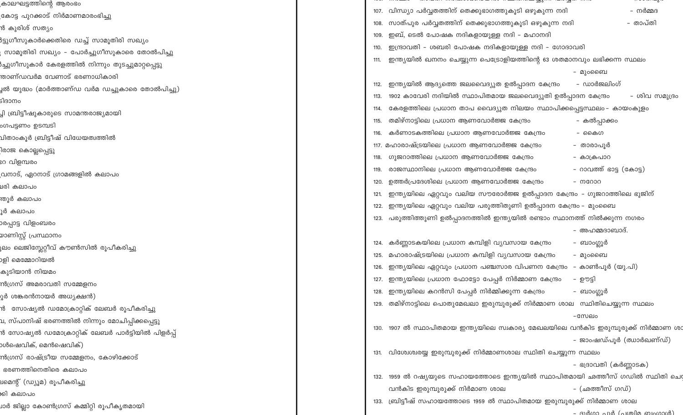| കാലഘട്ടത്തിന്റെ ആരംഭം                                  |                                                                             |      |                                                                                    |                         |                               |
|--------------------------------------------------------|-----------------------------------------------------------------------------|------|------------------------------------------------------------------------------------|-------------------------|-------------------------------|
| ഭകാട്ട പുറക്കാട് നിർമാണമാരംഭിച്ചു                      |                                                                             |      | 107. വിന്ധ്യാ പർവ്വതത്തിന് തെക്കുഭാഗത്തുകൂടി ഒഴുകുന്ന നദി                          |                         | – നർമ്മദ                      |
| ൻ കുരിശ് സത്യം                                         |                                                                             |      | 108. സാത്പുര പർവ്വതത്തിന് തെക്കുഭാഗത്തുകൂടി ഒഴുകുന്ന നദി                           |                         | - താപ്തി                      |
| 8ട്ടുഗീസുകാർക്കെതിരെ ഡച്ച് സാമൂതിരി സഖ്യം              |                                                                             | 109. | ഇബ്, ടെൽ പോഷക നദികളായുള്ള നദി – മഹാനദി                                             |                         |                               |
| സാമൂതിരി സഖ്യം - പോർച്ചുഗീസുകാരെ തോൽപിച്ചു             |                                                                             | 110. | ഇന്ദ്രാവതി – ശബരി പോഷക നദികളായുള്ള നദി – ഗോദാവരി                                   |                         |                               |
| }ച്ചുഗീസുകാർ കേരളത്തിൽ നിന്നും തുടച്ചുമാറ്റപ്പെട്ടു    |                                                                             | 111. | ഇന്ത്യയിൽ ഖനനം ചെയ്യുന്ന പെട്രോളിയത്തിന്റെ 63 ശതമാനവും ലഭിക്കന്ന സ്ഥലം             |                         |                               |
| ന്താണ്ഡവർമ വേണാട് ഭരണാധികാരി                           |                                                                             |      |                                                                                    | - മുംബൈ                 |                               |
| ൃൽ യുദ്ധം (മാർത്താണ്ഡ വർമ ഡച്ചുകാരെ തോൽപിച്ചു)         |                                                                             | 112. | ഇന്ത്യയിൽ ആദ്യത്തെ ജലവൈദ്യുത ഉൽപ്പാദന കേന്ദ്രം                                     | – ഡാർജലിംഗ്             |                               |
| ിദാനം                                                  |                                                                             | 113. | 1902 കാവേരി നദിയിൽ സ്ഥാപിതമായ ജലവൈദ്യുതി ഉൽപ്പാദന കേന്ദ്രം                         |                         | - ശിവ സമുദ്രം                 |
| ്വി ബ്രിട്ടീഷുകാരുടെ സാമന്തരാജ്യമായി                   |                                                                             | 114. | കേരളത്തിലെ പ്രധാന താപ വൈദ്യുത നിലയം സ്ഥാപിക്കപ്പെട്ടസ്ഥലം– കായംകുളം                |                         |                               |
| ംഗപട്ടണം ഉടമ്പടി                                       |                                                                             | 115. | തമിഴ്നാട്ടിലെ പ്രധാന ആണവോർജ്ജ കേന്ദ്രം                                             | – കൽപ്പാക്കം            |                               |
| വിതാംകൂർ ബ്രിട്ടീഷ് വിധേയത്വത്തിൽ                      |                                                                             |      | കർണാടകത്തിലെ പ്രധാന ആണവോർജ്ജ കേന്ദ്രം                                              | - കൈഗ                   |                               |
| ിരാജ കൊല്ലപ്പെട്ടു                                     |                                                                             |      | 117. മഹാരാഷ്ട്രയിലെ പ്രധാന ആണവോർജ്ജ കേന്ദ്രം                                       | - താരാപൂർ               |                               |
| ഃറ വിളമ്പരം                                            |                                                                             | 118. | ഗുജറാത്തിലെ പ്രധാന ആണവോർജ്ജ കേന്ദ്രം                                               | - കാക്രപാറ              |                               |
| വനാട്, ഏറനാട് ഗ്രാമങ്ങളിൽ കലാപം                        |                                                                             |      | രാജസ്ഥാനിലെ പ്രധാന ആണവോർജ്ജ കേന്ദ്രം                                               | - റാവത്ത് ഭാട്ട (കോട്ട) |                               |
| മരി കലാപം                                              |                                                                             | 120. | ഉത്തർപ്രദേശിലെ പ്രധാന ആണവോർജ്ജ കേന്ദ്രം                                            | - നറോറ                  |                               |
| ന്തൂർ കലാപം                                            |                                                                             | 121. | ഇന്ത്യയിലെ ഏറ്റവും വലിയ സൗരോർജ്ജ ഉൽപ്പാദന കേന്ദ്രം - ഗുജറാത്തിലെ ഭുജിന്            |                         |                               |
| ൂർ കലാപം                                               |                                                                             | 122. | ഇന്ത്യയിലെ ഏറ്റവും വലിയ പരുത്തിതുണി ഉൽപ്പാദന കേന്ദ്രം – മുംബൈ                      |                         |                               |
| ാരപ്പാട്ട വിളംബരം                                      | 123. പരുത്തിത്തുണി ഉൽപ്പാദനത്തിൽ ഇന്ത്യയിൽ രണ്ടാം സ്ഥാനത്ത് നിൽക്കുന്ന നഗരം |      |                                                                                    |                         |                               |
| മാണിസ്റ്റ് പ്രസ്ഥാനം                                   |                                                                             |      |                                                                                    | – അഹമ്മദാബാദ്.          |                               |
| ൂലം ലെജിസ്സേറ്റീവ് കൗൺസിൽ രൂപീകരിച്ചു                  |                                                                             |      | 124. കർണ്ണാടകയിലെ പ്രധാന കമ്പിളി വ്യവസായ കേന്ദ്രം                                  | – ബാംഗ്ലൂർ              |                               |
| ാളി മെമ്മോറിയൽ                                         |                                                                             |      | 125. മഹാരാഷ്ട്രയിലെ പ്രധാന കമ്പിളി വ്യവസായ കേന്ദ്രം                                | - മുംബൈ                 |                               |
| കുടിയാൻ നിയമം                                          |                                                                             | 126. | ഇന്ത്യയിലെ ഏറ്റവും പ്രധാന പഞ്ചസാര വിപണന കേന്ദ്രം  – കാൺപൂർ (യു.പി)                 |                         |                               |
| ൻഗ്രസ് അമരാവതി സമ്മേളനം                                |                                                                             |      | 127. ഇന്ത്യയിലെ പ്രധാന ഫോട്ടോ പേപ്പർ നിർമ്മാണ കേന്ദ്രം                             | – ഊട്ടി                 |                               |
| ുർ ശങ്കരൻനായർ അധ്യക്ഷൻ)                                |                                                                             |      | 128. ഇന്ത്യയിലെ കറൻസി പേപ്പർ നിർമ്മിക്കുന്ന കേന്ദ്രം                               | – ബാംഗ്ലൂർ              |                               |
| ൻ  സോഷ്യൽ ഡമോക്രാറ്റിക് ലേബർ രൂപീകരിച്ചു               |                                                                             |      | 129. തമിഴ്നാട്ടിലെ പൊതുമേഖലാ ഇരുമ്പുരുക്ക് നിർമ്മാണ ശാല സ്ഥിതിചെയ്യുന്ന സ്ഥലം      |                         |                               |
| വ, സ്പാനിഷ് ഭരണത്തിൽ നിന്നും മോചിപ്പിക്കപ്പെട്ടു       |                                                                             |      |                                                                                    | -സേലം                   |                               |
| ൻ സോഷ്യൽ ഡമോക്രാറ്റിക് ലേബർ പാർട്ടിയിൽ പിളർപ്പ്        |                                                                             |      | 130. 1907 ൽ സ്ഥാപിതമായ ഇന്ത്യയിലെ സ്വകാര്യ മേഖലയിലെ വൻകിട ഇരുമ്പുരുക്ക് നിർമ്മാണ ശ |                         |                               |
| ാൾഷെവിക്, മെൻഷെവിക്)                                   |                                                                             |      |                                                                                    |                         | – ജാംഷഡ്പൂർ (ഝാർഖണ്ഡ്)        |
| ൻഗ്രസ് രാഷ്ട്രീയ സമ്മേളനം, കോഴിക്കോട്                  |                                                                             |      | 131. വിശേശ്വരയ്യ ഇരുമ്പുരുക്ക് നിർമ്മാണശാല സ്ഥിതി ചെയ്യുന്ന സ്ഥലം                  |                         |                               |
| ഭരണത്തിനെതിരെ കലാപം                                    |                                                                             |      |                                                                                    | - ഭദ്രാവതി (കർണ്ണാടക)   |                               |
| ലമെന്റ് (ഡ്യൂമ) രൂപീകരിച്ചു                            |                                                                             |      | 132. 1959 ൽ റഷ്യയുടെ സഹായത്തോടെ ഇന്ത്യയിൽ സ്ഥാപിതമായി ഛത്തീസ് ഗഡിൽ സ്ഥിതി ചെ       |                         |                               |
| കി കലാപം                                               |                                                                             |      | വൻകിട ഇരുമ്പുരുക്ക് നിർമാണ ശാല                                                     | – (ഛത്തീസ് ഗഡ്)         |                               |
| <mark>⊔ാർ ജില്ലാ കോൺഗ്രസ് കമ്മിറ്റി രൂപീകൃതമായി</mark> |                                                                             |      | 133. ബ്രിട്ടീഷ് സഹായത്തോടെ 1959 ൽ സ്ഥാപിതമായ ഇരുമ്പുരുക്ക് നിർമ്മാണ ശാല            |                         |                               |
|                                                        |                                                                             |      |                                                                                    |                         | ardcon and Cormila misconrid) |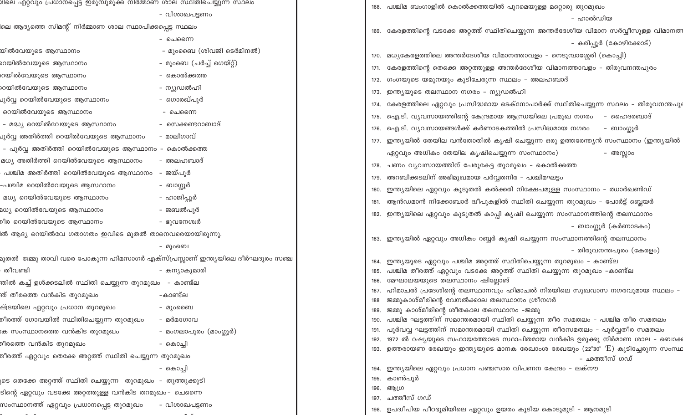| മലെ ഏറ്റവുo പ്രതാധപ്പെട്ട ഇരുവുരുക്ക നരമ്മാണ ശാല സ്ഥരതമെയ്യുന്ന സ്ഥലം            |                           | 168. പശ്ചിമ ബംഗാളിൽ കൊൽക്കത്തയിൽ പുറമെയുള്ള മറ്റൊരു തുറമുഖം                                                                                              |
|----------------------------------------------------------------------------------|---------------------------|----------------------------------------------------------------------------------------------------------------------------------------------------------|
|                                                                                  | - വിശാഖപട്ടണം             | - ഹാൽഡിയ                                                                                                                                                 |
| ലെ ആദ്യത്തെ സിമന്റ് നിർമ്മാണ ശാല സ്ഥാപിക്കപ്പെട്ട സ്ഥലം                          |                           | 169. കേരളത്തിന്റെ വടക്കേ അറ്റത്ത് സ്ഥിതിചെയ്യുന്ന അന്തർദേശീയ വിമാന സർവ്വീസുള്ള വിമാനത                                                                    |
|                                                                                  | - ചെന്നൈ                  | - കരിപ്പൂർ (കോഴിക്കോട്)                                                                                                                                  |
| യിൽവേയുടെ ആസ്ഥാനം                                                                | - മുംബൈ (ശിവജി ടെർമിനൽ)   | 170. മധ്യകേരളത്തിലെ അന്തർദേശീയ വിമാനത്താവളം – നെടുമ്പാശ്ശേരി (കൊച്ചി)                                                                                    |
| റയിൽവേയുടെ ആസ്ഥാനം                                                               | – മുംബെ (ചർച്ച് ഗെയ്റ്റ്) | കേരളത്തിന്റെ തെക്കെ അറ്റത്തുള്ള അന്തർദേശീയ വിമാനത്താവളം – തിരുവനന്തപുരം                                                                                  |
| റയിൽവേയുടെ ആസ്ഥാനം                                                               | – കൊൽക്കത്ത               | 172. ഗംഗയുടെ യമുനയും കൂടിചേരുന്ന സ്ഥലം – അലഹബാദ്                                                                                                         |
| റയിൽവേയുടെ ആസ്ഥാനം                                                               | – ന്യൂഡൽഹി                | ഇന്ത്യയുടെ തലസ്ഥാന നഗരം – ന്യൂഡൽഹി<br>173.                                                                                                               |
| ച്ചർവ്വ റെയിൽവേയുടെ ആസ്ഥാനം<br>- ഗൊരഖ്പൂർ                                        |                           | 174.  കേരളത്തിലെ ഏറ്റവും പ്രസിദ്ധമായ ടെക്നോപാർക്ക് സ്ഥിതിചെയ്യുന്ന സ്ഥലം – തിരുവനന്തപു                                                                   |
| റെയിൽവേയുടെ ആസ്ഥാനം                                                              | - ചെന്നൈ                  | ഐ.ടി. വ്യവസായത്തിന്റെ കേന്ദ്രമായ ആന്ധ്രയിലെ പ്രമുഖ നഗരം   – ഹൈദരബാദ്<br>175.                                                                             |
| - മദ്ധ്യ റെയിൽവേയുടെ ആസ്ഥാനം                                                     | – സെക്കണ്ടറാബാദ്          | 176. ഐ.ടി. വ്യവസായങ്ങൾക്ക് കർണാടകത്തിൽ പ്രസിദ്ധമായ നഗരം<br>– ബാംഗ്ലൂർ                                                                                    |
| - മാലിഗാവ്<br>ചൂർവ്വ അതിർത്തി റെയിൽവേയുടെ ആസ്ഥാനം                                |                           | 177. ഇന്ത്യയിൽ തേയില വൻതോതിൽ കൃഷി ചെയ്യുന്ന ഒരു ഉത്തരേന്ത്യൻ സംസ്ഥാനം (ഇന്ത്യയിൽ                                                                         |
| - പൂർവ്വ അതിർത്തി റെയിൽവേയുടെ ആസ്ഥാനം – കൊൽക്കത്ത                                |                           |                                                                                                                                                          |
| മധ്യ അതിർത്തി റെയിൽവേയുടെ ആസ്ഥാനം                                                | - അലഹബാദ്                 | ഏറ്റവും അധികം തേയില കൃഷിചെയ്യുന്ന സംസ്ഥാനം)<br>– അസ്സാം                                                                                                  |
| - ജയ്പൂർ<br>പശ്ചിമ അതിർത്തി റെയിൽവേയുടെ ആസ്ഥാനം                                  |                           | 178. ചണം വ്യവസായത്തിന് പേരുകേട്ട തുറമുഖം – കൊൽക്കത്ത                                                                                                     |
| -പശ്ചിമ റെയിൽവേയുടെ ആസ്ഥാനം<br>– ബാഗ്ലൂർ                                         |                           | 179. അറബിക്കടലിന് അഭിമുഖമായ പർവ്വതനിര – പശ്ചിമഘട്ടം                                                                                                      |
| മധ്യ റെയിൽവേയുടെ ആസ്ഥാനം                                                         | – ഹാജിപ്പൂർ               | ഇന്ത്യയിലെ ഏറ്റവും കൂടുതൽ കൽക്കരി നിക്ഷേപമുള്ള സംസ്ഥാനം – ഝാർഖൺഡ്                                                                                        |
| ്ധ്യ റെയിൽവേയുടെ ആസ്ഥാനം                                                         | – ജബൽപൂർ                  | ആൻഡമാൻ നിക്കോബാർ ദ്വീപുകളിൽ സ്ഥിതി ചെയ്യുന്ന തുറമുഖം – പോർട്ട് ബ്ലെയർ                                                                                    |
| ീര റെയിൽവേയുടെ ആസ്ഥാനം                                                           | - ഭുവനേശ്വർ               | 182.  ഇന്ത്യയിലെ ഏറ്റവും കൂടുതൽ കാപ്പി കൃഷി ചെയ്യുന്ന സംസ്ഥാനത്തിന്റെ തലസ്ഥാനം                                                                           |
| ൽ ആദ്യ റെയിൽവേ ഗതാഗതം ഇവിടെ മുതൽ താനെവരെയായിരുന്ന <mark>ു</mark> .               |                           | - ബാംഗ്ലൂർ (കർണാടകം)                                                                                                                                     |
|                                                                                  | – മുംബെ                   | 183. ഇന്ത്യയിൽ ഏറ്റവും അധികം റബ്ബർ കൃഷി ചെയ്യുന്ന സംസ്ഥാനത്തിന്റെ തലസ്ഥാനം                                                                               |
| റുതൽ  ജമ്മു താവി വരെ പോകുന്ന ഹിമസാഗർ എക്സ്പ്രസ്സാണ് ഇന്ത്യയിലെ ദീർഘദൂരം സഞ്ച     |                           | – തിരുവനന്തപുരം (കേരളം)                                                                                                                                  |
| തീവണ്ടി<br>– കന്യാകുമാരി                                                         |                           | ഇന്ത്യയുടെ ഏറ്റവും പശ്ചിമ അറ്റത്ത് സ്ഥിതിചെയ്യുന്ന തുറമുഖം – കാണ്ട്ല<br>184.<br>പശ്ചിമ തീരത്ത് ഏറ്റവും വടക്കേ അറ്റത്ത് സ്ഥിതി ചെയ്യുന്ന തുറമുഖം –കാണ്ട്ല |
| തിൽ കച്ച് ഉൾക്കടലിൽ സ്ഥിതി ചെയ്യുന്ന തുറമുഖം   – കാണ്ട്ല                         |                           | മേഘാലയയുടെ തലസ്ഥാനം ഷില്ലോങ്<br>186.                                                                                                                     |
| ത് തീരത്തെ വൻകിട തുറമുഖം<br>-കാണ്ട്ല                                             |                           | ഹിമാചൽ പ്രദേശിന്റെ തലസ്ഥാനവും ഹിമാചൽ നിരയിലെ സുഖവാസ നഗരവുമായ സ്ഥലം –                                                                                     |
| ച്ച്ട്രയിലെ ഏറ്റവും പ്രധാന തുറമുഖം                                               | - മുംബൈ                   | ജമ്മുകാശ്മീരിന്റെ വേനൽക്കാല തലസ്ഥാനം ശ്രീനഗർ                                                                                                             |
| മീരത്ത് ഗോവയിൽ സ്ഥിതിചെയ്യുന്ന തുറമുഖം                                           | - മർമഗോവ                  | 189. ജമ്മു കാശ്മീരിന്റെ ശീതകാല തലസ്ഥാനം -ജമ്മു<br>190. പശ്ചിമ ഘട്ടത്തിന് സമാന്തരമായി സ്ഥിതി ചെയ്യുന്ന തീര സമതലം – പശ്ചിമ തീര സമതലം                       |
| ക സംസ്ഥാനത്തെ വൻകിട തുറമുഖം                                                      | - മംഗലാപുരം (മാംഗ്ലൂർ)    | പൂർവവ്വ ഘട്ടത്തിന് സമാന്തരമായി സ്ഥിതി ചെയ്യുന്ന തീരസമതലം – പൂർവ്വതീര സമതലം<br>191.                                                                       |
| ീരത്തെ വൻകിട തുറമുഖം                                                             |                           | 1972 ൽ റഷ്യയുടെ സഹായത്തോടെ സ്ഥാപിതമായ വൻകിട ഉരുക്കു നിർമാണ ശാല – ബൊക                                                                                     |
| – കൊച്ചി<br>മീരത്ത് ഏറ്റവും തെക്കേ അറ്റത്ത് സ്ഥിതി ചെയ്യുന്ന തുറമുഖം<br>– கൊച്ചി |                           | 193.  ഉത്തരായണ രേഖയും ഇന്ത്യയുടെ മാനക രേഖാംശ രേഖയും (22º30º 'E) കൂടിച്ചേരുന്ന സംസ്ഥ                                                                      |
|                                                                                  |                           | – ഛത്തീസ് ഗഡ്<br>194. ഇന്ത്യയിലെ ഏറ്റവും പ്രധാന പഞ്ചസാര വിപണന കേന്ദ്രം – ലക്നൗ                                                                           |
|                                                                                  |                           | 195. കാൺപൂർ                                                                                                                                              |
| ടെ തെക്കേ അറ്റത്ത് സ്ഥിതി ചെയ്യുന്ന  തുറമുഖം  – തൂത്തുക്കുടി                     |                           | ആഗ്ര<br>196.                                                                                                                                             |
| ടിന്റെ ഏറ്റവും വടക്കേ അറ്റത്തുള്ള വൻകിട തറമുഖം– ചെന്നൈ                           |                           | 197. ചത്തീസ് ഗഡ്                                                                                                                                         |
| സംസ്ഥാനത്ത് ഏറ്റവും പ്രധാനപ്പെട്ട തുറമുഖം                                        | – വിശാഖപട്ടണം             | 198. ഉപദ്വീപിയ പീഠഭൂമിയിലെ ഏറ്റവും ഉയരം കൂടിയ കൊടുമുടി - ആനമുടി                                                                                          |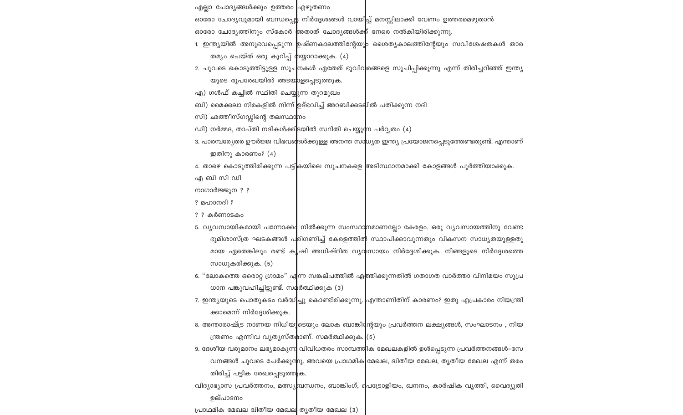എല്ലാ ചോദ്യങ്ങൾക്കും ഉത്തരം എഴുതണം ഓരോ ചോദ്യവുമായി ബന്ധപ്പെ**ട്ട** നിർദ്ദേശങ്ങൾ വായിച്ച് മനസ്സിലാക്കി വേണം ഉത്തരമെഴുതാൻ ഓരോ ചോദ്യത്തിനും സ്കോർ <mark>അതാത് ചോദ്യങ്ങൾക</mark>്ക് നേരെ നൽകിയിരിക്കുന്നു.

ബി) മൈക്കലാ നിരകളിൽ നിന്ന് ഉദ്ഭവിച്ച് അറബിക്കടലിൽ പതിക്കുന്ന നദി

ഡി) നർമ്മദ, താപ്തി നദികൾക്കിടയിൽ സ്ഥിതി ചെയ്യുന്ന പർവ്വതം (4)

എ) ഗൾഫ് കച്ചിൽ സ്ഥിതി ചെയ്യുന്ന തുറമുഖം

സി) ഛത്തീസ്ഗഡ്ഡിന്റെ തലസ്ഥാ<mark>ന</mark>ം

ഇതിനു കാരണം? $(4)$ 

സാധൂകരിക്കുക. (5)

ക്കാമെന്ന് നിർദ്ദേശിക്കുക.

തിരിച്ച് പട്ടിക രേഖപ്പെടുത്തുക.

പ്രാഥമിക മേഖല ദിതീയ മേഖല തൃതീയ മേഖല (3)

ഉല്പാദനം

ധാന പങ്കുവഹിച്ചിട്ടുണ്ട്. സ**മ്**ർത്ഥിക്കുക (3)

ന്ത്രണം എന്നിവ വ്യത്യസ്തമാണ്. സമർത്ഥിക്കുക. (5)

എ ബി സി ഡി നാഗാർജ്ജുന ? ?

? മഹാനദി ? ? ? കർണാടകം

2. ചുവടെ കൊടുത്തിട്ടുള്ള സൂച്മ<mark>നകൾ ഏതേത് ഭൂവിവ</mark>രങ്ങളെ സൂചിപ്പിക്കുന്നു എന്ന് തിരിച്ചറിഞ്ഞ് ഇന്ത്യ യുടെ രൂപരേഖയിൽ അടയാളപ്പെടുത്തുക.

ാ. പാരമ്പര്യേതര ഊർജ്ജ വിഭവര<mark>്ദ</mark>േൾക്കുള്ള അനന്ത സാധ്യത ഇന്ത്യ പ്രയോജനപ്പെടുത്തേണ്ടതുണ്ട്. എന്താണ്

4. താഴെ കൊടുത്തിരിക്കുന്ന പട്ടികയിലെ സൂചനകളെ അടിസ്ഥാനമാക്കി കോളങ്ങൾ പൂർത്തിയാക്കുക.

\_5. വ്യവസായികമായി പന്നോക്ക**്** നിൽക്കുന്ന സംസ്ഥാ<mark>ന</mark>മാണല്ലോ കേരളം. ഒരു വ്യവസായത്തിനു വേണ്ട

6. "ലോകത്തെ ഒരൊറ്റ ഗ്രാമം" എന്ന സങ്കല്പത്തിൽ എ<mark>ത്തിക്കുന്നതിൽ ഗതാഗത വാർത്താ വിനിമയം സുപ്ര</mark>

7. ഇന്ത്യയുടെ പൊതുകടം വർദ്ധിച്ചു കൊണ്ടിരിക്കുന്നു. <mark>എന്താണിതിന് കാരണം? ഇതു എപ്രകാരം നിയന്ത്രി</mark>

8. അന്താരാഷ്ട്ര നാണയ നിധിയ<mark>ൂ</mark>ടെയും ലോക ബാങ്കി**ന്**റേയും പ്രവർത്തന ലക്ഷ്യങ്ങൾ, സംഘാടനം , നിയ

9. ദേശീയ വരുമാനം ലഭ്യമാകുന്ന<mark>ി</mark> വിവിധതരം സാമ്പത്തിക മേഖലകളിൽ ഉൾപ്പെടുന്ന പ്രവർത്തനങ്ങൾ–സേ

വിദ്യാഭ്യാസ പ്രവർത്തനം, മത്സ്യബന്ധനം, ബാങ്കിംഗ്, പ്രെട്രോളിയം, ഖനനം, കാർഷിക വൃത്തി, വൈദ്യുതി

വനങ്ങൾ ചുവടെ ചേർക്കുന്നു. അവയെ പ്രാഥമിക മേഖല, ദിതീയ മേഖല, തൃതീയ മേഖല എന്ന് തരം

ഭൂമിശാസ്ത്ര ഘടകങ്ങൾ പ<mark>രിഗണിച്ച് കേരളത്തിത</mark>് സ്ഥാപിക്കാവുന്നതും വികസന സാധ്യതയുള്ളതു \_മായ ഏതെങ്കിലും രണ്ട് ക¶ഷി അധിഷ്ഠിത വ്യ**വ്**സായം നിർദ്ദേശിക്കുക. നിങ്ങളുടെ നിർദ്ദേശത്തെ

- 
- 1. ഇന്ത്യയിൽ അനുഭവപ്പെടുന്ന ഉഷ്ണകാലത്തിന്റേയു<mark>ം</mark> ശൈത്യകാലത്തിന്റേയും സവിശേഷതകൾ താര തമ്യം ചെയ്ത് ഒരു കുറിപ്പ് തയ്യാറാക്കുക. (4)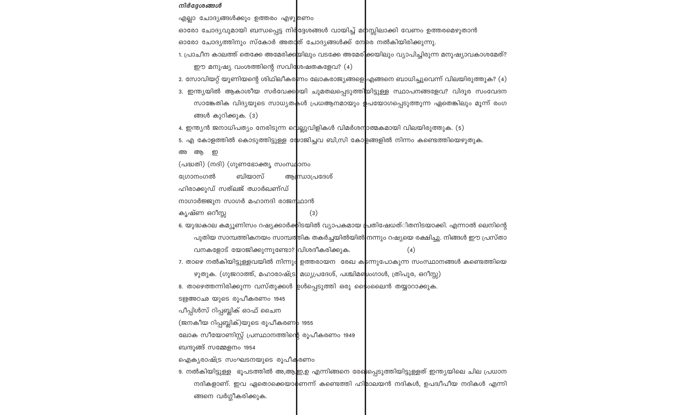അ ആ ഇ

ഗ്രോനംഗൽ

കൃഷ്ണ ഒറീസ്സ

ഓരോ ചോദ്യവുമായി ബന്ധപ്പെട്ട നിർ<mark>ദ്ദേശങ്ങൾ വായിച്ച് മന</mark>സ്സിലാക്കി വേണം ഉത്തരമെഴുതാൻ ഓരോ ചോദ്യത്തിനും സ്കോർ അതാ<mark>ത് ചോദ്യങ്ങൾക്ക് നേ</mark>രെ നൽകിയിരിക്കുന്നു.

4. ഇന്ത്യൻ ജനാധിപത്യം നേരിടുന്ന വെല്ലുവിളികൾ വിമർശന<mark>ാത്മകമായി വിലയിരുത്തുക. (5)</mark>

ആന്ധ്രാപ്രദേശ്

 $(3)$ 

ഴുതുക. (ഗുജറാത്ത്, മഹാരാഷ്ട്ര $\mid$  മധ്യപ്രദേശ്, പശ്ചിമഞ്ചംഗാൾ, ത്രിപുര, ഒറീസ്സ)

8. താഴെത്തന്നിരിക്കുന്ന വസ്തുക്കൾ <mark>ഉ</mark>ൾപ്പെടുത്തി ഒരു ക<mark>ൈ</mark>ംലൈൻ തയ്യാറാക്കുക.

5. എ കോളത്തിൽ കൊടുത്തിട്ടുള്ള **്രോ**ജിച്ചവ ബി,സി കോ<mark>ളങ്ങളിൽ നിന്നം കണ്ടെത്തിയെഴുതുക.</mark>

\_6. യുദ്ധകാല കമ്യൂണിസം റഷ്യക്കാർക്കിടയിൽ വ്യാപകമായ പ്രതിഷേധത്ിതനിടയാക്കി. എന്നാൽ ലെനിന്റെ

7. താഴെ നൽകിയിട്ടുള്ളവയിൽ നിന്നു**|** ഉത്തരായന രേഖ ക<mark>ട</mark>ന്നുപോകുന്ന സംസ്ഥാനങ്ങൾ കണ്ടെത്തിയെ

9. നൽകിയിട്ടുള്ള ഭൂപടത്തിൽ അ,ആ,ഇ,ഉ എന്നിങ്ങനെ രേഖിപ്പെടുത്തിയിട്ടുള്ളത് ഇന്ത്യയിലെ ചില പ്രധാന

നദികളാണ്. ഇവ ഏതൊക്കെയാ**മ്**ണന്ന് കണ്ടെത്തി ഹി<mark>മാലയൻ നദികൾ, ഉപദ്വീപീയ നദികൾ എന്നി</mark>

പുതിയ സാമ്പത്തികനയം സാമ്പത്തിക തകർച്ചയിൽയിൽ നന്നും റഷ്യയെ രക്ഷിച്ചു. നിങ്ങൾ ഈ പ്രസ്താ

 $(4)$ 

1. പ്രാചീന കാലത്ത് തെക്കേ അമേരിക്ക<mark>യിലും വടക്കേ അമേരി</mark>ക്കയിലും വ്യാപിച്ചിരുന്ന മനുഷ്യാവകാശമേത്?

2. സോവിയറ്റ് യൂണിയന്റെ ശിഥിലീകര<mark>ണം ലോകരാജ്യങ്ങളെ</mark> എങ്ങനെ ബാധിച്ചുവെന്ന് വിലയിരുത്തുക? (4) ാ. ഇന്ത്യയിൽ ആകാശീയ സർവേക്ക<mark>)</mark>യി ചുമതലപ്പെടുത്തിയിട്ടുള്ള സ്ഥാപനങ്ങളേവ? വിദൂര സംവേദന

സാങ്കേതിക വിദ്യയുടെ സാധ്യതകൾ പ്രധആനമായും **ഉ**പയോഗപ്പെടുത്തുന്ന ഏതെങ്കിലും മൂന്ന് രംഗ

ങ്ങൾ കുറിക്കുക. (3)

(പദ്ധതി) (നദി) (ഗുണഭോക്തൃ സംസ്ഥാനം ബിയാസ്

നാഗാർജ്ജുന സാഗർ മഹാനദി രാജന<mark>്</mark>ഥാൻ

വനകളോട് യോജിക്കുന്നുണ്ടോ? വിശദീകരിക്കുക.

ലോക സീയോണിസ്റ്റ് പ്രസ്ഥാനത്തിന്റെ രൂപീകരണം 1949

ഹിരാക്കുഡ് സത്ലജ് ഝാർഖണ്ഡ്

ടഋഅഠഛ യുടെ രൂപീകരണം 1945 പീപ്പിൾസ് റിപ്പബ്ലിക് ഓഫ് ചൈന

ങ്ങനെ വർഗ്ഗീകരിക്കുക.

ബന്ദൂങ്ങ് സമ്മേളനം 1954

(ജനകീയ റിപ്പബ്ലിക്)യുടെ രൂപീകരണ<mark>ം</mark> 1955

ഐകൃരാഷ്ട്ര സംഘടനയുടെ രൂപീകരണം

എല്ലാ ചോദ്യങ്ങൾക്കും ഉത്തരം എഴു<mark>ത്</mark>ഞം

ഈ മനുഷ്യ വംശത്തിന്റെ സവിശേഷതകളേവ? (4)

### നിർദ്ദേശങ്ങൾ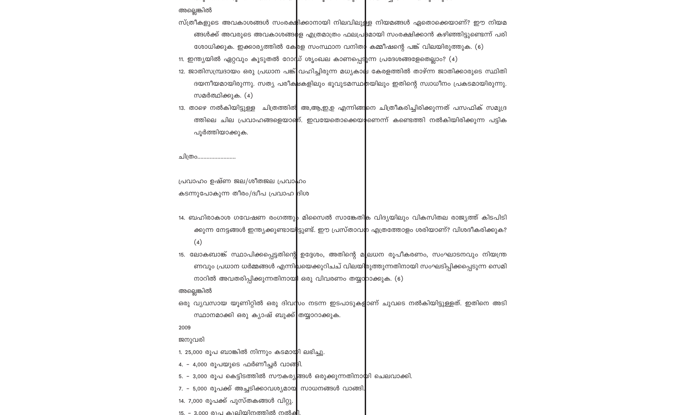അല്ലെങ്കിൽ

സ്ത്രീകളുടെ അവകാശങ്ങൾ സംരക്ഷിക്കാനായി നിലവിലുള്ള നിയമങ്ങൾ ഏതൊക്കെയാണ്? ഈ നിയമ ങ്ങൾക്ക് അവരുടെ അവകാശങ്ങ**ം**ള എത്രമാത്രം ഫലപ്ര<mark>3</mark>മായി സംരക്ഷിക്കാൻ കഴിഞ്ഞിട്ടുണ്ടെന്ന് പരി ശോധിക്കുക. ഇക്കാര്യത്തിൽ കേ<mark>രള സംസ്ഥാന വനിത</mark> കമ്മീഷന്റെ പങ്ക് വിലയിരുത്തുക. (6)

11. ഇന്ത്യയിൽ ഏറ്റവും കൂടുതൽ റോ $\vert$ ധ് ശൃംഖല കാണപ്പെട്ടുന്ന പ്രദേശങ്ങളേതെല്ലാം? (4) 12. ജാതിസമ്പ്രദായം ഒരു പ്രധാന പങ്ക് വഹിച്ചിരുന്ന മധ്യകാല കേരളത്തിൽ താഴ്ന്ന ജാതിക്കാരുടെ സ്ഥിതി ദയനീയമായിരുന്നു. സത്യ പരീക<mark>ലകളിലും ഭൂവുടമസ്ഥ</mark>തയിലും ഇതിന്റെ സ്വാധീനം പ്രകടമായിരുന്നു. സമർത്ഥിക്കുക. (4)

13. താഴെ നൽകിയിട്ടുള്ള ചിത്രത്തിൽ അ,ആ,ഇ,ഉ എന്നിങ്ങനെ ചിത്രീകരിച്ചിരിക്കുന്നത് പസഫിക് സമുദ്ര ത്തിലെ ചില പ്രവാഹങ്ങളെയാണ്. ഇവയേതൊക്കെയ**,**ണെന്ന് കണ്ടെത്തി നൽകിയിരിക്കുന്ന പട്ടിക പുർത്തിയാക്കുക.

ചിത്രം........

പ്രവാഹം ഉഷ്ണ ജല/ശീതജല പ്രവാഹം കടന്നുപോകുന്ന തീരം/ദ്വീപ പ്രവാഹ ദിശ

- 14. ബഹിരാകാശ ഗവേഷണ രംഗത്തു<mark>)</mark> മിസൈൽ സാങ്കേതി<mark>ക വിദൃയിലും വികസിതല രാജൃത്ത് കിടപിടി</mark> ക്കുന്ന നേട്ടങ്ങൾ ഇന്ത്യക്കുണ്ടായ ട്ടുണ്ട്. ഈ പ്രസ്താവ<mark>റ</mark> എത്രത്തോളം ശരിയാണ്? വിശദീകരിക്കുക?  $(4)$
- 15. ലോകബാങ്ക് സ്ഥാപിക്കപ്പെട്ടതിന്റെ ഉദ്ദേശം, അതിന്റെ മ $\|$ ലധന രൂപീകരണം, സംഘാടനവും നിയന്ത്ര ണവും പ്രധാന ധർമ്മങ്ങൾ എന്നി<mark>പ</mark>യെക്കുറിചച് വിലയി<mark>രുത്തുന്നതിനായി സംഘടിപ്പിക്കപ്പെടുന്ന സെമി</mark> നാറിൽ അവതരിപ്പിക്കുന്നതിനായ ഒരു വിവരണം തയ്യാറാക്കുക. (6)

അല്ലെങ്കിൽ

.ഒരു വ്യവസായ യൂണിറ്റിൽ ഒരു ദിവസം നടന്ന ഇടപാടുകള**ാ**ണ് ചുവടെ നൽകിയിട്ടുള്ളത്. ഇതിനെ അടി സ്ഥാനമാക്കി ഒരു കൃാഷ് ബുക്ക്|തയ്യാറാക്കുക.

2009

ജനുവരി

1. 25,000 രൂപ ബാങ്കിൽ നിന്നും കടമാ**യി** ലഭിച്ചു.

4. - 4,000 രൂപയുടെ ഫർണീച്ചർ വാങ്ങി.

5. - 3,000 രൂപ കെട്ടിടത്തിൽ സൗകര്യങ്ങൾ ഒരുക്കുന്നതിനാ**മ്**1 ചെലവാക്കി.

7. – 5,000 രൂപക്ക് അച്ചടിക്കാവശ്യമായ സാധനങ്ങൾ വാങ്ങി.

14. 7,000 രൂപക്ക് പുസ്തകങ്ങൾ വിറ്റു

<u> 15 - 3,000 രൂപ കുലിയിനത്തിൽ നൽക്</u>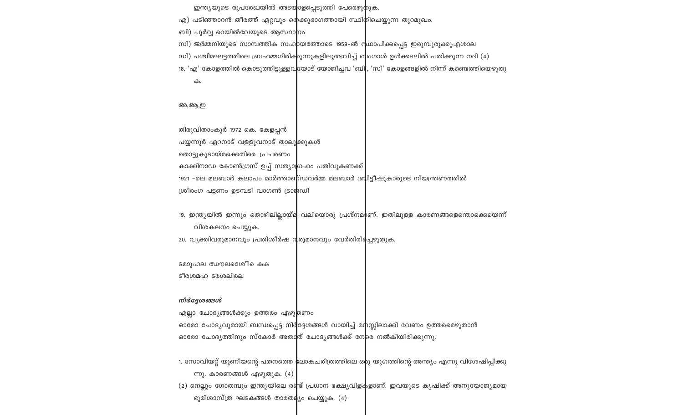ഭൂമിശാസ്ത്ര $\sim$ ലടകങ്ങൾ താരത $a_{\lambda}$ ം ചെയ്യുക. (4)

1. സോവിയറ്റ് യൂണിയന്റെ പതനത്തെ 'ലോകചരിത്രത്തിലെ ഒരു യുഗത്തിന്റെ അന്ത്യം എന്നു വിശേഷിപ്പിക്കു ന്നു. കാരണങ്ങൾ എഴുതുക.  $(4)$ 

(2) നെല്ലും ഗോതമ്പും ഇന്ത്യയിലെ രണ്ട് പ്രധാന ഭക്ഷ്യവിള**ക**ളാണ്. ഇവയുടെ കൃഷിക്ക് അനുയോജ്യമായ

എല്ലാ ചോദ്യങ്ങൾക്കും ഉത്തരം എഴു<mark>ത്</mark>ണം ഓരോ ചോദ്യവുമായി ബന്ധപ്പെട്ട നിർ<mark>ദ്ദേശങ്ങൾ വായിച്ച് മന</mark>സ്സിലാക്കി വേണം ഉത്തരമെഴുതാൻ ഓരോ ചോദ്യത്തിനും സ്കോർ അതാത് ചോദ്യങ്ങൾക്ക് നേ<mark>രെ നൽകിയിരിക്കുന്നു.</mark>

# നിർദ്ദേശങ്ങൾ

ടീരശമഹ ടരശലിരല

ടമാുഹല ഝൗലശേീെ കെ

20. വ്യക്തിവരുമാനവും പ്രതിശീർഷ വ<mark>രുമാനവും വേർതിരിക്</mark>ചഴുതുക.

വിശകലനം ചെയ്യുക.

19. ഇന്ത്യയിൽ ഇന്നും തൊഴിലില്ലായ്മ വലിയൊരു പ്രശ്നമ<mark>ു</mark>ണ്. ഇതിലുള്ള കാരണങ്ങളെന്തൊക്കെയെന്ന്

തിരുവിതാംകൂർ 1972 കെ. കേളപ്പൻ പയ്യന്നൂർ ഏറനാട് വള്ളുവനാട് താലൂ<mark>ക്കുകൾ</mark> തൊട്ടുകൂടായ്മക്കെതിരെ പ്രചരണം കാക്കിനാഡ കോൺഗ്രസ് ഉപ്പ് സത്യാഗ്രഹം പതിവുകണക്ക് <u>1921 –ലെ മലബാർ കലാപം മാർത്താണ്ഡവർമ്മ മലബാർ ബ്രിട്ടീഷുകാരുടെ നിയന്ത്രണത്തിൽ</u> ശ്രീരംഗ പട്ടണം ഉടമ്പടി വാഗൺ ട്രാജഡി

#### അ,ആ,ഇ

#### ക.

18. 'എ' കോളത്തിൽ കൊടുത്തിട്ടുള്ളവുയോട് യോജിച്ചവ 'ബി', 'സി' കോളങ്ങളിൽ നിന്ന് കണ്ടെത്തിയെഴുതു

ഡി) പശ്ചിമഘട്ടത്തിലെ ബ്രഹമ്മഗിരിക<mark>്കുന്നുകളിലുത്ഭവിച്ച് ബ</mark>്ംഗാൾ ഉൾക്കടലിൽ പതിക്കുന്ന നദി (4)

\_സി) ജർമ്മനിയുടെ സാമ്പത്തിക സഹ**്**രയത്തോടെ 1959–ൽ സ്ഥാപിക്കപ്പെട്ട ഇരുമ്പുരുക്കുഎശാല

ബി) പൂർവ്വ റെയിൽവേയുടെ ആസ്ഥാ<mark>ന</mark>ം

എ) പടിഞ്ഞാറൻ തീരത്ത് ഏറ്റവും രെക്കുഭാഗത്തായി സ്ഥിതിചെയ്യുന്ന തുറമുഖം.

ഇന്ത്യയുടെ രൂപരേഖയിൽ അടയ<mark>ാ</mark>ളപ്പെടുത്തി പേരെഴു<mark>തുക.</mark>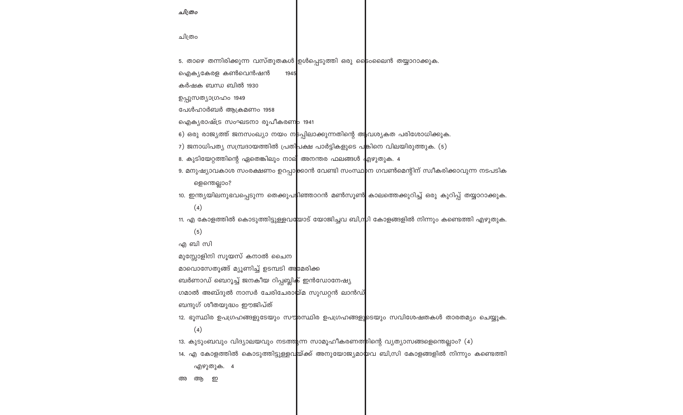അ ആ ഇ

എഴുതുക. 4

14. എ കോളത്തിൽ കൊടുത്തിട്ടുള്ളവ<mark>യ്ക്ക് അനുയോജ്യമാ</mark>യവ ബി,സി കോളങ്ങളിൽ നിന്നും കണ്ടെത്തി

13. കുടുംബവും വിദ്യാലയവും നടത്ത<mark>ു</mark>ന്ന സാമൂഹീകരണത്തിന്റെ വ്യത്യാസങ്ങളെന്തെല്ലാം? (4)

 $(4)$ 

ബന്ദുഗ് ശീതയുദ്ധം ഈജിപ്ത് 12. ഭൂസ്ഥിര ഉപഗ്രഹങ്ങളുടേയും സൗ<mark>രസ്ഥിര ഉപഗ്രഹങ്ങളു</mark>ടെയും സവിശേഷതകൾ താരതമ്യം ചെയ്യുക.

ഗമാൽ അബ്ദുൽ നാസർ ചേരിചേരാ<mark>യ്</mark>മ സുഡറ്റൻ ലാൻഡ്

ബർണാഡ് ബെറൂച്ച് ജനകീയ റിപ്പബ്ലിക് ഇൻഡോനേഷ്യ

മാവൊസേതൂങ്ങ് മ്യൂണിച്ച് ഉടമ്പടി അ<mark>മേരിക്ക</mark>

മുസ്സോളിനി സൂയസ് കനാൽ ചൈന

എ ബി സി

 $(5)$ 

 $(4)$ 11. എ കോളത്തിൽ കൊടുത്തിട്ടുള്ളവ<mark>യോ</mark>ട് യോജിച്ചവ ബി,ന്റ്റി കോളങ്ങളിൽ നിന്നും കണ്ടെത്തി എഴുതുക.

ളെന്തെല്ലാം? 10. ഇന്ത്യയിലനുഭവപ്പെടുന്ന തെക്കുപ**്ടി**ഞ്ഞാറൻ മൺസൂൺ കാലത്തെക്കുറിച്ച് ഒരു കുറിപ്പ് തയ്യാറാക്കുക.

9. മനുഷ്യാവകാശ സംരക്ഷണം ഉറപ്പാ<mark>ക്കാൻ വേണ്ടി സംസ്ഥ</mark>ാന ഗവൺമെന്റിന് സ്വീകരിക്കാവുന്ന നടപടിക

8. കുടിയേറ്റത്തിന്റെ ഏതെങ്കിലും നാല് അനന്തര ഫലങ്ങൾ <mark>എഴുതുക. 4</mark>

7) ജനാധിപത്യ സമ്പ്രദായത്തിൽ പ്രതി<mark>പക്ഷ പാർട്ടികളുടെ പ</mark>ങ്കിനെ വിലയിരുത്തുക. (5)

6) ഒരു രാജ്യത്ത് ജനസംഖ്യാ നയം ന<mark>ട</mark>പ്പിലാക്കുന്നതിന്റെ ആവശ്യകത പരിശോധിക്കുക.

ഐക്യരാഷ്ട്ര സംഘടനാ രൂപീകരണ<mark>ം 1941</mark>

പേൾഹാർബർ ആക്രമണം 1958

ഉപ്പുസത്യാഗ്രഹം 1949

കർഷക ബന്ധ ബിൽ 1930

ഐക്യകേരള കൺവെൻഷൻ 1945

5. താഴെ തന്നിരിക്കുന്ന വസ്തുതകൾ ഉൾപ്പെടുത്തി ഒരു ട്രൈംലെൻ തയ്യാറാക്കുക.

ചിത്രം

ചിത്രം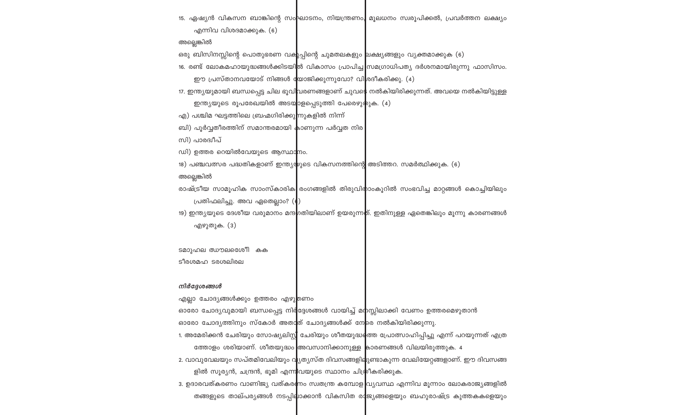ളിൽ സൂര്യൻ, ചന്ദ്രൻ, ഭൂമി എന്നിവയുടെ സ്ഥാനം ചിത്രീകരിക്കുക. 3. ഉദാരവത്കരണം വാണിജ്യ വത്കര<mark>ണം</mark> സ്വതന്ത്ര കമ്പോള|വ്യവസ്ഥ എന്നിവ മൂന്നാം ലോകരാജ്യങ്ങളിൽ തങ്ങളുടെ താല്പര്യങ്ങൾ നടപ്പി**ല**ാക്കാൻ വികസിത രാജ്യങ്ങളെയും ബഹുരാഷ്ട്ര കുത്തകകളെയും

1. അമേരിക്കൻ ചേരിയും സോഷ്യലിസ്റ്റ് ചേരിയും ശീതയുദ്ധ**േ**ത്ത പ്രോത്സാഹിപ്പിച്ചു എന്ന് പറയുന്നത് എത്ര ത്തോളം ശരിയാണ്. ശീതയുദ്ധം <mark>അവസാനിക്കാനുള്ള കാരണങ്ങൾ വിലയിരുത്തുക. 4</mark> 2. വാവുവേലയും സപ്തമിവേലിയും വ<mark>ൃതൃസ്ത ദിവസങ്ങളില</mark>ുണ്ടാകുന്ന വേലിയേറ്റങ്ങളാണ്. ഈ ദിവസങ്ങ

ഓരോ ചോദ്യവുമായി ബന്ധപ്പെട്ട നിർ<mark>ദ്ദേശങ്ങൾ വായിച്ച് മന</mark>സ്സിലാക്കി വേണം ഉത്തരമെഴുതാൻ

ഓരോ ചോദ്യത്തിനും സ്കോർ അതാ<mark>ത് ചോദ്യങ്ങൾക്ക് നേ</mark>രെ നൽകിയിരിക്കുന്നു.

എല്ലാ ചോദ്യങ്ങൾക്കും ഉത്തരം എഴുതണം

നിർദ്ദേശങ്ങൾ

ടീരശമഹ ടരശലിരല

എഴുതുക. (3)

ടമാുഹല ഝൗലശേനീ കക

പ്രതിഫലിച്ചു. അവ ഏതെല്ലാം? (( 19) ഇന്ത്യയുടെ ദേശീയ വരുമാനം മന്ദ<mark>ം</mark>ഗതിയിലാണ് ഉയരുന്നത്. ഇതിനുള്ള ഏതെങ്കിലും മൂന്നു കാരണങ്ങൾ

അല്ലെങ്കിൽ രാഷ്ട്രീയ സാമൂഹിക സാംസ്കാരിക രംഗങ്ങളിൽ തിരുവിരാംകൂറിൽ സംഭവിച്ച മാറ്റങ്ങൾ കൊച്ചിയിലും

18) പഞ്ചവത്സര പദ്ധതികളാണ് ഇന്ത്യയുടെ വികസനത്തിന്റെ അടിത്തറ. സമർത്ഥിക്കുക. (6)

ഡി) ഉത്തര റെയിൽവേയുടെ ആസ്ഥാനം.

സി) പാരദ്വീപ്

ബി) പൂർവ്വതീരത്തിന് സമാന്തരമായി കാണുന്ന പർവ്വത നിര

എ) പശ്ചിമ ഘട്ടത്തിലെ ബ്രഹ്മഗിരിക്കുന്നുകളിൽ നിന്ന്

ഇന്ത്യയുടെ രൂപരേഖയിൽ അടയ<mark>ാ</mark>ളപ്പെടുത്തി പേരെഴു**തുക.** (4)

17. ഇന്ത്യയുമായി ബന്ധപ്പെട്ട ചില ഭൂവിവരണങ്ങളാണ് ചുവ\$െ നൽകിയിരിക്കുന്നത്. അവയെ നൽകിയിട്ടുള്ള

ഈ പ്രസ്താനവയോട് നിങ്ങൾ <mark>യോജിക്കുന്നുവോ? വി</mark>ശദീകരിക്കു. (4)

16. രണ്ട് ലോകമഹായുദ്ധങ്ങൾക്കിടയി<mark>ൽ വികാസം പ്രാപിച്ച</mark> സമഗ്രാധിപത്യ ദർശനമായിരുന്നു ഫാസിസം.

ഒരു ബിസിനസ്സിന്റെ പൊതുഭരണ വകുപ്പിന്റെ ചുമതലകളും <mark>ലക്ഷ്യങ്ങളും വ്യക്തമാക്കുക (6)</mark>

അല്ലെങ്കിൽ

എന്നിവ വിശദമാക്കുക. (6)

15. ഏഷ്യൻ വികസന ബാങ്കിന്റെ സംഘാടനം, നിയന്ത്രണം, മൂലധനം സ്വരൂപിക്കൽ, പ്രവർത്തന ലക്ഷ്യം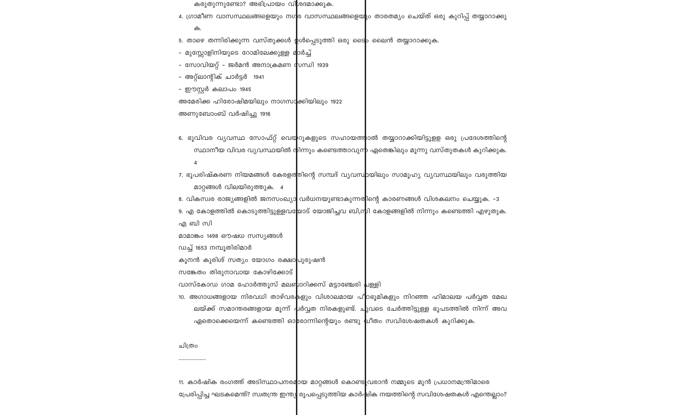11. കാർഷിക രംഗത്ത് അടിസ്ഥാപനരമ<mark>ായ മാറ്റങ്ങൾ കൊണ്ട</mark>ുവരാൻ നമ്മുടെ മുൻ പ്രധാനമന്ത്രിമാരെ പ്രേരിപ്പിച്ച ഘടകമെന്ത്? സ്വതന്ത്ര ഇന്ത്യ രൂപപ്പെടുത്തിയ കാർഷിക നയത്തിന്റെ സവിശേഷതകൾ എന്തെല്ലാം?

ചിത്രം

എ ബി സി

വാസ്കോഡ ഗാമ ഹോർത്തൂസ് മലബ്ബാറിക്കസ് മട്ടാഞ്ചേരി പള്ളി 10. അഗാധങ്ങളായ നിരവധി താഴ്വര<mark>ക</mark>ളും വിശാലമായ പീഠഭൂമികളും നിറഞ്ഞ ഹിമാലയ പർവ്വത മേഖ ്ലയ്ക്ക് സമാന്തരങ്ങളായ മൂന്ന് പരിവ്വത നിരകളുണ്ട്. ചുവടെ ചേർത്തിട്ടുള്ള ഭൂപടത്തിൽ നിന്ന് അവ ഏതൊക്കെയെന്ന് കണ്ടെത്തി ഓ<mark>രോന്നിന്റെയും രണ്ടു പ്രീതം സവിശേഷതകൾ കുറിക്കുക</mark>.

മാറ്റങ്ങൾ വിലയിരുത്തുക. 4 8. വികസ്വര രാജ്യങ്ങളിൽ ജനസംഖ്യാ വർധനയുണ്ടാകുന്നതിന്റെ കാരണങ്ങൾ വിശകലനം ചെയ്യുക. -3 9. എ കോളത്തിൽ കൊടുത്തിട്ടുള്ളവയോട് യോജിച്ചവ ബി,സ്മി കോളങ്ങളിൽ നിന്നും കണ്ടെത്തി എഴുതുക.

7. ഭൂപരിഷ്കരണ നിയമങ്ങൾ കേരളത്തിന്റെ സമ്പദ് വ്യവസ്<mark>ഥ</mark>യിലും സാമൂഹ്യ വ്യവസ്ഥയിലും വരുത്തിയ

6. ഭൂവിവര വ്യവസ്ഥ സോഫ്റ്റ് വെയ്റുകളുടെ സഹായത്താൽ തയ്യാറാക്കിയിട്ടുളള ഒരു പ്രദേശത്തിന്റെ സ്ഥാനീയ വിവര വൃവസ്ഥയിൽ നിന്നും കണ്ടെത്താവുന്റ ഏതെങ്കിലും മൂന്നു വസ്തുതകൾ കുറിക്കുക.

അണുബോംബ് വർഷിച്ചു 1916

മാമാങ്കം 1498 ഔഷധ സസ്യങ്ങൾ

സങ്കേതം തിരുനാവായ കോഴിക്കോട്

കൂനൻ കുരിശ് സത്യം യോഗം രക്ഷാ<mark>പുരുഷൻ</mark>

ഡച്ച് 1653 നമ്പൂതിരിമാർ

അമേരിക്ക ഹിരോഷിമയിലും നാഗസ<mark>ാ</mark>ക്കിയിലും 1922

- ഈസ്റ്റർ കലാപം 1945
- 
- 
- അറ്റ്ലാന്റിക് ചാർട്ടർ 1941
- സോവിയറ്റ് ജർമൻ അനാക്രമണ സന്ധി 1939
- മുസ്സോളിനിയുടെ റോമിലേക്കുള്ള മ<mark>ാർച്ച്</mark>
- 5. താഴെ തന്നിരിക്കുന്ന വസ്തുക്കൾ **ഉ**ൾപ്പെടുത്തി ഒരു ടൈ<mark>ം</mark> ലൈൻ തയ്യാറാക്കുക.

#### ക.

കരുതുന്നുണ്ടോ? അഭിപ്രായം വിശദമാക്കുക. 4. ഗ്രാമീണ വാസസ്ഥലങ്ങളെയും നഗ<mark>ര വാസസ്ഥലങ്ങളെയ</mark>ും താരതമ്യം ചെയ്ത് ഒരു കുറിപ്പ് തയ്യാറാക്കു